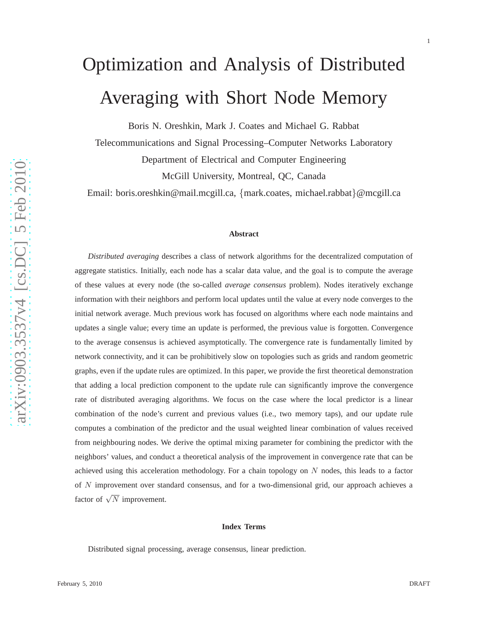# Optimization and Analysis of Distributed Averaging with Short Node Memory

Boris N. Oreshkin, Mark J. Coates and Michael G. Rabbat

Telecommunications and Signal Processing–Computer Networks Laboratory Department of Electrical and Computer Engineering McGill University, Montreal, QC, Canada

Email: boris.oreshkin@mail.mcgill.ca, {mark.coates, michael.rabbat }@mcgill.ca

#### **Abstract**

*Distributed averaging* describes a class of network algorithms for the decentralized computation of aggregate statistics. Initially, each node has a scalar data value, and the goal is to compute the average of these values at every node (the so-called *average consensus* problem). Nodes iteratively exchange information with their neighbors and perform local updates until the value at every node converges to the initial network average. Much previous work has focused on algorithms where each node maintains and updates a single value; every time an update is performed, the previous value is forgotten. Convergence to the average consensus is achieved asymptotically. The convergence rate is fundamentally limited by network connectivity, and it can be prohibitively slow on topologies such as grids and random geometric graphs, even if the update rules are optimized. In this paper, we provide the first theoretical demonstration that adding a local prediction component to the update rule can significantly improve the convergence rate of distributed averaging algorithms. We focus on the case where the local predictor is a linear combination of the node's current and previous values (i.e., two memory taps), and our update rule computes a combination of the predictor and the usual weighted linear combination of values received from neighbouring nodes. We derive the optimal mixing parameter for combining the predictor with the neighbors' values, and conduct a theoretical analysis of the improvement in convergence rate that can be achieved using this acceleration methodology. For a chain topology on N nodes, this leads to a factor of N improvement over standard consensus, and for a two-dimensional grid, our approach achieves a factor of  $\sqrt{N}$  improvement.

#### **Index Terms**

Distributed signal processing, average consensus, linear prediction.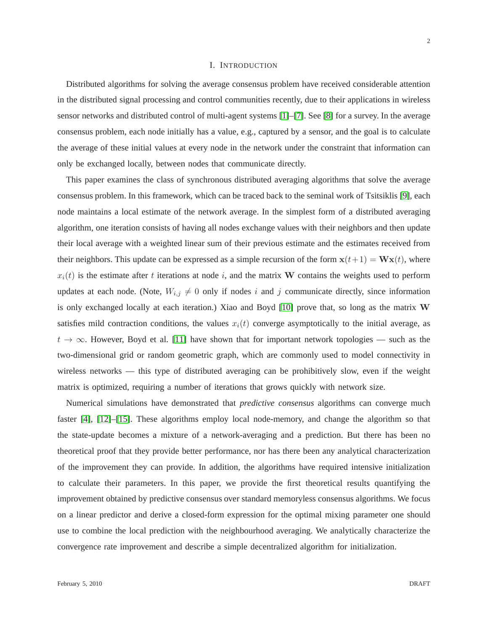#### I. INTRODUCTION

Distributed algorithms for solving the average consensus problem have received considerable attention in the distributed signal processing and control communities recently, due to their applications in wireless sensor networks and distributed control of multi-agent systems [\[1\]](#page-29-0)–[\[7\]](#page-29-1). See [\[8\]](#page-29-2) for a survey. In the average consensus problem, each node initially has a value, e.g., captured by a sensor, and the goal is to calculate the average of these initial values at every node in the network under the constraint that information can only be exchanged locally, between nodes that communicate directly.

This paper examines the class of synchronous distributed averaging algorithms that solve the average consensus problem. In this framework, which can be traced back to the seminal work of Tsitsiklis [\[9\]](#page-29-3), each node maintains a local estimate of the network average. In the simplest form of a distributed averaging algorithm, one iteration consists of having all nodes exchange values with their neighbors and then update their local average with a weighted linear sum of their previous estimate and the estimates received from their neighbors. This update can be expressed as a simple recursion of the form  $\mathbf{x}(t+1) = \mathbf{W}\mathbf{x}(t)$ , where  $x_i(t)$  is the estimate after t iterations at node i, and the matrix W contains the weights used to perform updates at each node. (Note,  $W_{i,j} \neq 0$  only if nodes i and j communicate directly, since information is only exchanged locally at each iteration.) Xiao and Boyd [\[10\]](#page-29-4) prove that, so long as the matrix W satisfies mild contraction conditions, the values  $x_i(t)$  converge asymptotically to the initial average, as  $t \to \infty$ . However, Boyd et al. [\[11\]](#page-29-5) have shown that for important network topologies — such as the two-dimensional grid or random geometric graph, which are commonly used to model connectivity in wireless networks — this type of distributed averaging can be prohibitively slow, even if the weight matrix is optimized, requiring a number of iterations that grows quickly with network size.

Numerical simulations have demonstrated that *predictive consensus* algorithms can converge much faster [\[4\]](#page-29-6), [\[12\]](#page-29-7)–[\[15\]](#page-29-8). These algorithms employ local node-memory, and change the algorithm so that the state-update becomes a mixture of a network-averaging and a prediction. But there has been no theoretical proof that they provide better performance, nor has there been any analytical characterization of the improvement they can provide. In addition, the algorithms have required intensive initialization to calculate their parameters. In this paper, we provide the first theoretical results quantifying the improvement obtained by predictive consensus over standard memoryless consensus algorithms. We focus on a linear predictor and derive a closed-form expression for the optimal mixing parameter one should use to combine the local prediction with the neighbourhood averaging. We analytically characterize the convergence rate improvement and describe a simple decentralized algorithm for initialization.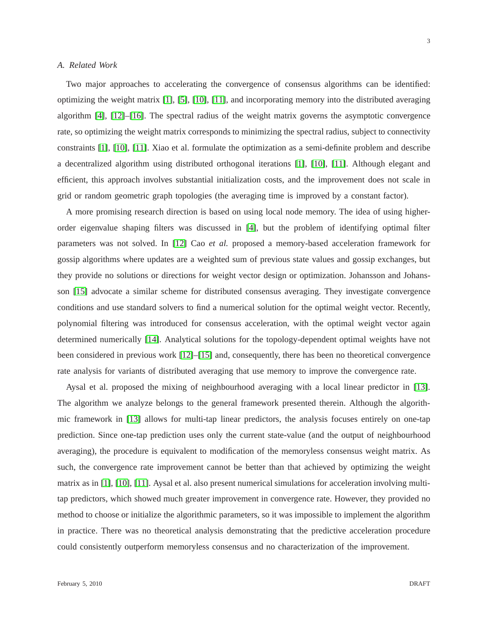## *A. Related Work*

Two major approaches to accelerating the convergence of consensus algorithms can be identified: optimizing the weight matrix [\[1\]](#page-29-0), [\[5\]](#page-29-9), [\[10\]](#page-29-4), [\[11\]](#page-29-5), and incorporating memory into the distributed averaging algorithm [\[4\]](#page-29-6), [\[12\]](#page-29-7)–[\[16\]](#page-29-10). The spectral radius of the weight matrix governs the asymptotic convergence rate, so optimizing the weight matrix corresponds to minimizing the spectral radius, subject to connectivity constraints [\[1\]](#page-29-0), [\[10\]](#page-29-4), [\[11\]](#page-29-5). Xiao et al. formulate the optimization as a semi-definite problem and describe a decentralized algorithm using distributed orthogonal iterations [\[1\]](#page-29-0), [\[10\]](#page-29-4), [\[11\]](#page-29-5). Although elegant and efficient, this approach involves substantial initialization costs, and the improvement does not scale in grid or random geometric graph topologies (the averaging time is improved by a constant factor).

A more promising research direction is based on using local node memory. The idea of using higherorder eigenvalue shaping filters was discussed in [\[4\]](#page-29-6), but the problem of identifying optimal filter parameters was not solved. In [\[12\]](#page-29-7) Cao *et al.* proposed a memory-based acceleration framework for gossip algorithms where updates are a weighted sum of previous state values and gossip exchanges, but they provide no solutions or directions for weight vector design or optimization. Johansson and Johansson [\[15\]](#page-29-8) advocate a similar scheme for distributed consensus averaging. They investigate convergence conditions and use standard solvers to find a numerical solution for the optimal weight vector. Recently, polynomial filtering was introduced for consensus acceleration, with the optimal weight vector again determined numerically [\[14\]](#page-29-11). Analytical solutions for the topology-dependent optimal weights have not been considered in previous work [\[12\]](#page-29-7)–[\[15\]](#page-29-8) and, consequently, there has been no theoretical convergence rate analysis for variants of distributed averaging that use memory to improve the convergence rate.

Aysal et al. proposed the mixing of neighbourhood averaging with a local linear predictor in [\[13\]](#page-29-12). The algorithm we analyze belongs to the general framework presented therein. Although the algorithmic framework in [\[13\]](#page-29-12) allows for multi-tap linear predictors, the analysis focuses entirely on one-tap prediction. Since one-tap prediction uses only the current state-value (and the output of neighbourhood averaging), the procedure is equivalent to modification of the memoryless consensus weight matrix. As such, the convergence rate improvement cannot be better than that achieved by optimizing the weight matrix as in [\[1\]](#page-29-0), [\[10\]](#page-29-4), [\[11\]](#page-29-5). Aysal et al. also present numerical simulations for acceleration involving multitap predictors, which showed much greater improvement in convergence rate. However, they provided no method to choose or initialize the algorithmic parameters, so it was impossible to implement the algorithm in practice. There was no theoretical analysis demonstrating that the predictive acceleration procedure could consistently outperform memoryless consensus and no characterization of the improvement.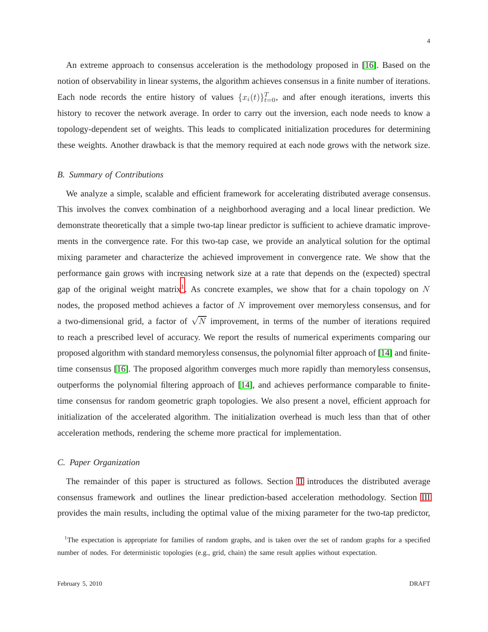An extreme approach to consensus acceleration is the methodology proposed in [\[16\]](#page-29-10). Based on the notion of observability in linear systems, the algorithm achieves consensus in a finite number of iterations. Each node records the entire history of values  $\{x_i(t)\}_{t=0}^T$ , and after enough iterations, inverts this history to recover the network average. In order to carry out the inversion, each node needs to know a topology-dependent set of weights. This leads to complicated initialization procedures for determining these weights. Another drawback is that the memory required at each node grows with the network size.

## *B. Summary of Contributions*

We analyze a simple, scalable and efficient framework for accelerating distributed average consensus. This involves the convex combination of a neighborhood averaging and a local linear prediction. We demonstrate theoretically that a simple two-tap linear predictor is sufficient to achieve dramatic improvements in the convergence rate. For this two-tap case, we provide an analytical solution for the optimal mixing parameter and characterize the achieved improvement in convergence rate. We show that the performance gain grows with increasing network size at a rate that depends on the (expected) spectral gap of the original weight matrix<sup>[1](#page-3-0)</sup>. As concrete examples, we show that for a chain topology on  $N$ nodes, the proposed method achieves a factor of N improvement over memoryless consensus, and for a two-dimensional grid, a factor of  $\sqrt{N}$  improvement, in terms of the number of iterations required to reach a prescribed level of accuracy. We report the results of numerical experiments comparing our proposed algorithm with standard memoryless consensus, the polynomial filter approach of [\[14\]](#page-29-11) and finitetime consensus [\[16\]](#page-29-10). The proposed algorithm converges much more rapidly than memoryless consensus, outperforms the polynomial filtering approach of [\[14\]](#page-29-11), and achieves performance comparable to finitetime consensus for random geometric graph topologies. We also present a novel, efficient approach for initialization of the accelerated algorithm. The initialization overhead is much less than that of other acceleration methods, rendering the scheme more practical for implementation.

# *C. Paper Organization*

The remainder of this paper is structured as follows. Section [II](#page-4-0) introduces the distributed average consensus framework and outlines the linear prediction-based acceleration methodology. Section [III](#page-5-0) provides the main results, including the optimal value of the mixing parameter for the two-tap predictor,

<span id="page-3-0"></span><sup>&</sup>lt;sup>1</sup>The expectation is appropriate for families of random graphs, and is taken over the set of random graphs for a specified number of nodes. For deterministic topologies (e.g., grid, chain) the same result applies without expectation.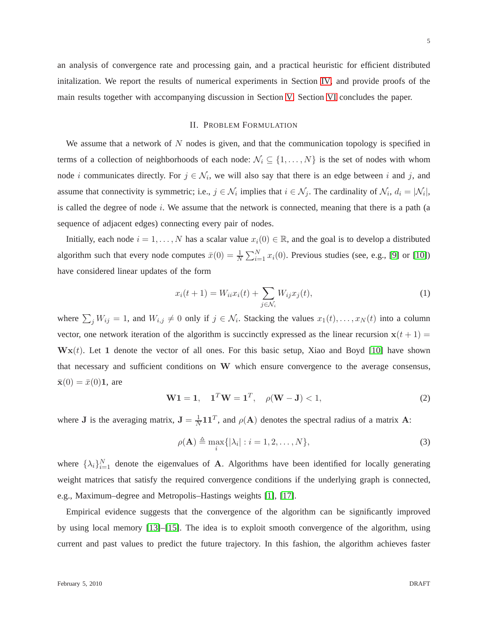<span id="page-4-0"></span>an analysis of convergence rate and processing gain, and a practical heuristic for efficient distributed initalization. We report the results of numerical experiments in Section [IV,](#page-11-0) and provide proofs of the main results together with accompanying discussion in Section [V.](#page-17-0) Section [VI](#page-28-0) concludes the paper.

## II. PROBLEM FORMULATION

We assume that a network of  $N$  nodes is given, and that the communication topology is specified in terms of a collection of neighborhoods of each node:  $\mathcal{N}_i \subseteq \{1, \ldots, N\}$  is the set of nodes with whom node *i* communicates directly. For  $j \in \mathcal{N}_i$ , we will also say that there is an edge between *i* and *j*, and assume that connectivity is symmetric; i.e.,  $j \in \mathcal{N}_i$  implies that  $i \in \mathcal{N}_j$ . The cardinality of  $\mathcal{N}_i$ ,  $d_i = |\mathcal{N}_i|$ , is called the degree of node  $i$ . We assume that the network is connected, meaning that there is a path (a sequence of adjacent edges) connecting every pair of nodes.

Initially, each node  $i = 1, \ldots, N$  has a scalar value  $x_i(0) \in \mathbb{R}$ , and the goal is to develop a distributed algorithm such that every node computes  $\bar{x}(0) = \frac{1}{N} \sum_{i=1}^{N} x_i(0)$ . Previous studies (see, e.g., [\[9\]](#page-29-3) or [\[10\]](#page-29-4)) have considered linear updates of the form

$$
x_i(t+1) = W_{ii}x_i(t) + \sum_{j \in \mathcal{N}_i} W_{ij}x_j(t),\tag{1}
$$

where  $\sum_j W_{ij} = 1$ , and  $W_{i,j} \neq 0$  only if  $j \in \mathcal{N}_i$ . Stacking the values  $x_1(t), \ldots, x_N(t)$  into a column vector, one network iteration of the algorithm is succinctly expressed as the linear recursion  $x(t + 1) =$  $\mathbf{W} \mathbf{x}(t)$ . Let 1 denote the vector of all ones. For this basic setup, Xiao and Boyd [\[10\]](#page-29-4) have shown that necessary and sufficient conditions on W which ensure convergence to the average consensus,  $\bar{\mathbf{x}}(0) = \bar{x}(0) \mathbf{1}$ , are

<span id="page-4-1"></span>
$$
W1 = 1, \quad 1^T W = 1^T, \quad \rho(W - J) < 1,\tag{2}
$$

where **J** is the averaging matrix,  $J = \frac{1}{N} I I^T$ , and  $\rho(A)$  denotes the spectral radius of a matrix A:

$$
\rho(\mathbf{A}) \triangleq \max_{i} \{ |\lambda_i| : i = 1, 2, \dots, N \},\tag{3}
$$

where  $\{\lambda_i\}_{i=1}^N$  denote the eigenvalues of **A**. Algorithms have been identified for locally generating weight matrices that satisfy the required convergence conditions if the underlying graph is connected, e.g., Maximum–degree and Metropolis–Hastings weights [\[1\]](#page-29-0), [\[17\]](#page-29-13).

Empirical evidence suggests that the convergence of the algorithm can be significantly improved by using local memory [\[13\]](#page-29-12)–[\[15\]](#page-29-8). The idea is to exploit smooth convergence of the algorithm, using current and past values to predict the future trajectory. In this fashion, the algorithm achieves faster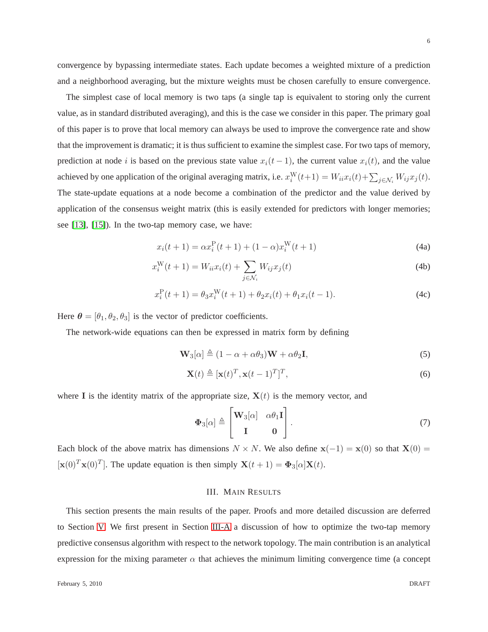convergence by bypassing intermediate states. Each update becomes a weighted mixture of a prediction and a neighborhood averaging, but the mixture weights must be chosen carefully to ensure convergence.

The simplest case of local memory is two taps (a single tap is equivalent to storing only the current value, as in standard distributed averaging), and this is the case we consider in this paper. The primary goal of this paper is to prove that local memory can always be used to improve the convergence rate and show that the improvement is dramatic; it is thus sufficient to examine the simplest case. For two taps of memory, prediction at node i is based on the previous state value  $x_i(t - 1)$ , the current value  $x_i(t)$ , and the value achieved by one application of the original averaging matrix, i.e.  $x_i^W(t+1) = W_{ii}x_i(t) + \sum_{j \in \mathcal{N}_i} W_{ij}x_j(t)$ . The state-update equations at a node become a combination of the predictor and the value derived by application of the consensus weight matrix (this is easily extended for predictors with longer memories; see [\[13\]](#page-29-12), [\[15\]](#page-29-8)). In the two-tap memory case, we have:

<span id="page-5-1"></span>
$$
x_i(t+1) = \alpha x_i^{\mathcal{P}}(t+1) + (1-\alpha)x_i^{\mathcal{W}}(t+1)
$$
\n(4a)

$$
x_i^{\mathbf{W}}(t+1) = W_{ii}x_i(t) + \sum_{j \in \mathcal{N}_i} W_{ij}x_j(t)
$$
\n(4b)

$$
x_i^{\mathcal{P}}(t+1) = \theta_3 x_i^{\mathcal{W}}(t+1) + \theta_2 x_i(t) + \theta_1 x_i(t-1).
$$
 (4c)

Here  $\theta = [\theta_1, \theta_2, \theta_3]$  is the vector of predictor coefficients.

The network-wide equations can then be expressed in matrix form by defining

$$
\mathbf{W}_3[\alpha] \triangleq (1 - \alpha + \alpha \theta_3) \mathbf{W} + \alpha \theta_2 \mathbf{I},\tag{5}
$$

$$
\mathbf{X}(t) \triangleq [\mathbf{x}(t)^T, \mathbf{x}(t-1)^T]^T,\tag{6}
$$

where I is the identity matrix of the appropriate size,  $X(t)$  is the memory vector, and

<span id="page-5-4"></span><span id="page-5-3"></span><span id="page-5-2"></span>
$$
\Phi_3[\alpha] \triangleq \begin{bmatrix} \mathbf{W}_3[\alpha] & \alpha \theta_1 \mathbf{I} \\ \mathbf{I} & \mathbf{0} \end{bmatrix} . \tag{7}
$$

<span id="page-5-0"></span>Each block of the above matrix has dimensions  $N \times N$ . We also define  $\mathbf{x}(-1) = \mathbf{x}(0)$  so that  $\mathbf{X}(0) =$  $[\mathbf{x}(0)^T \mathbf{x}(0)^T]$ . The update equation is then simply  $\mathbf{X}(t+1) = \mathbf{\Phi}_3[\alpha] \mathbf{X}(t)$ .

## III. MAIN RESULTS

This section presents the main results of the paper. Proofs and more detailed discussion are deferred to Section [V.](#page-17-0) We first present in Section [III-A](#page-6-0) a discussion of how to optimize the two-tap memory predictive consensus algorithm with respect to the network topology. The main contribution is an analytical expression for the mixing parameter  $\alpha$  that achieves the minimum limiting convergence time (a concept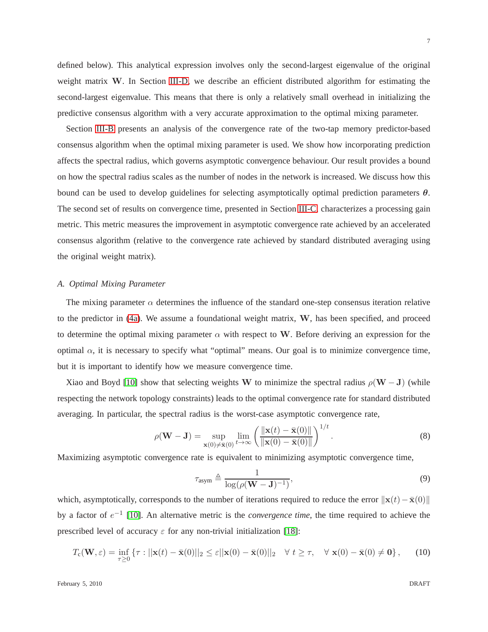defined below). This analytical expression involves only the second-largest eigenvalue of the original weight matrix W. In Section [III-D,](#page-10-0) we describe an efficient distributed algorithm for estimating the second-largest eigenvalue. This means that there is only a relatively small overhead in initializing the predictive consensus algorithm with a very accurate approximation to the optimal mixing parameter.

Section [III-B](#page-8-0) presents an analysis of the convergence rate of the two-tap memory predictor-based consensus algorithm when the optimal mixing parameter is used. We show how incorporating prediction affects the spectral radius, which governs asymptotic convergence behaviour. Our result provides a bound on how the spectral radius scales as the number of nodes in the network is increased. We discuss how this bound can be used to develop guidelines for selecting asymptotically optimal prediction parameters  $\theta$ . The second set of results on convergence time, presented in Section [III-C,](#page-9-0) characterizes a processing gain metric. This metric measures the improvement in asymptotic convergence rate achieved by an accelerated consensus algorithm (relative to the convergence rate achieved by standard distributed averaging using the original weight matrix).

#### <span id="page-6-0"></span>*A. Optimal Mixing Parameter*

The mixing parameter  $\alpha$  determines the influence of the standard one-step consensus iteration relative to the predictor in [\(4a\)](#page-5-1). We assume a foundational weight matrix, W, has been specified, and proceed to determine the optimal mixing parameter  $\alpha$  with respect to W. Before deriving an expression for the optimal  $\alpha$ , it is necessary to specify what "optimal" means. Our goal is to minimize convergence time, but it is important to identify how we measure convergence time.

Xiao and Boyd [\[10\]](#page-29-4) show that selecting weights W to minimize the spectral radius  $\rho(W - J)$  (while respecting the network topology constraints) leads to the optimal convergence rate for standard distributed averaging. In particular, the spectral radius is the worst-case asymptotic convergence rate,

$$
\rho(\mathbf{W} - \mathbf{J}) = \sup_{\mathbf{x}(0) \neq \bar{\mathbf{x}}(0)} \lim_{t \to \infty} \left( \frac{\|\mathbf{x}(t) - \bar{\mathbf{x}}(0)\|}{\|\mathbf{x}(0) - \bar{\mathbf{x}}(0)\|} \right)^{1/t}.
$$
 (8)

Maximizing asymptotic convergence rate is equivalent to minimizing asymptotic convergence time,

<span id="page-6-1"></span>
$$
\tau_{\text{asym}} \triangleq \frac{1}{\log(\rho(\mathbf{W} - \mathbf{J})^{-1})},\tag{9}
$$

which, asymptotically, corresponds to the number of iterations required to reduce the error  $\|\mathbf{x}(t)-\bar{\mathbf{x}}(0)\|$ by a factor of  $e^{-1}$  [\[10\]](#page-29-4). An alternative metric is the *convergence time*, the time required to achieve the prescribed level of accuracy  $\varepsilon$  for any non-trivial initialization [\[18\]](#page-29-14):

$$
T_{\mathbf{c}}(\mathbf{W}, \varepsilon) = \inf_{\tau \ge 0} \left\{ \tau : ||\mathbf{x}(t) - \bar{\mathbf{x}}(0)||_2 \le \varepsilon ||\mathbf{x}(0) - \bar{\mathbf{x}}(0)||_2 \quad \forall \ t \ge \tau, \quad \forall \ \mathbf{x}(0) - \bar{\mathbf{x}}(0) \ne \mathbf{0} \right\}, \tag{10}
$$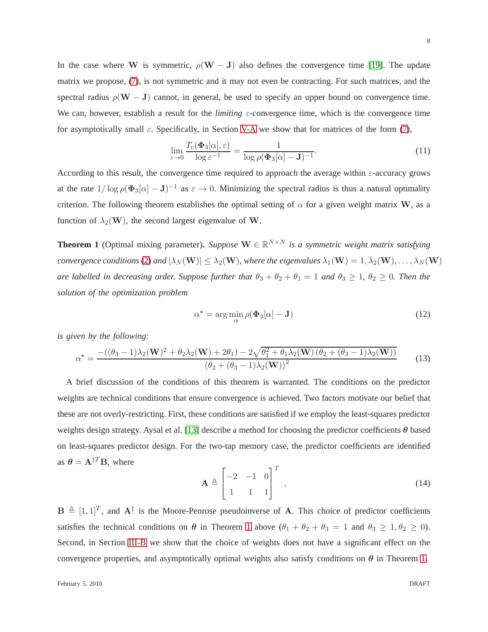In the case where W is symmetric,  $\rho(W - J)$  also defines the convergence time [\[19\]](#page-29-15). The update matrix we propose, [\(7\)](#page-5-2), is not symmetric and it may not even be contracting. For such matrices, and the spectral radius  $\rho(\mathbf{W} - \mathbf{J})$  cannot, in general, be used to specify an upper bound on convergence time. We can, however, establish a result for the *limiting* ε-convergence time, which is the convergence time for asymptotically small  $\varepsilon$ . Specifically, in Section [V-A](#page-17-1) we show that for matrices of the form [\(7\)](#page-5-2),

$$
\lim_{\varepsilon \to 0} \frac{T_{\rm c}(\Phi_3[\alpha], \varepsilon)}{\log \varepsilon^{-1}} = \frac{1}{\log \rho(\Phi_3[\alpha] - \mathbf{J})^{-1}}.
$$
\n(11)

According to this result, the convergence time required to approach the average within  $\varepsilon$ -accuracy grows at the rate  $1/\log \rho (\Phi_3[\alpha] - J)^{-1}$  as  $\varepsilon \to 0$ . Minimizing the spectral radius is thus a natural optimality criterion. The following theorem establishes the optimal setting of  $\alpha$  for a given weight matrix W, as a function of  $\lambda_2(\mathbf{W})$ , the second largest eigenvalue of W.

<span id="page-7-0"></span>**Theorem 1** (Optimal mixing parameter). *Suppose*  $\mathbf{W} \in \mathbb{R}^{N \times N}$  *is a symmetric weight matrix satisfying convergence conditions* [\(2\)](#page-4-1) *and*  $|\lambda_N(\mathbf{W})| \leq \lambda_2(\mathbf{W})$ *, where the eigenvalues*  $\lambda_1(\mathbf{W}) = 1, \lambda_2(\mathbf{W}), \dots, \lambda_N(\mathbf{W})$ *are labelled in decreasing order. Suppose further that*  $\theta_3 + \theta_2 + \theta_1 = 1$  *and*  $\theta_3 \ge 1$ *,*  $\theta_2 \ge 0$ *. Then the solution of the optimization problem*

<span id="page-7-1"></span>
$$
\alpha^* = \arg\min_{\alpha} \rho(\Phi_3[\alpha] - \mathbf{J}) \tag{12}
$$

*is given by the following:*

$$
\alpha^* = \frac{-((\theta_3 - 1)\lambda_2(\mathbf{W})^2 + \theta_2\lambda_2(\mathbf{W}) + 2\theta_1) - 2\sqrt{\theta_1^2 + \theta_1\lambda_2(\mathbf{W})\left(\theta_2 + (\theta_3 - 1)\lambda_2(\mathbf{W})\right)}}{(\theta_2 + (\theta_3 - 1)\lambda_2(\mathbf{W}))^2}
$$
(13)

A brief discussion of the conditions of this theorem is warranted. The conditions on the predictor weights are technical conditions that ensure convergence is achieved. Two factors motivate our belief that these are not overly-restricting. First, these conditions are satisfied if we employ the least-squares predictor weights design strategy. Aysal et al. [\[13\]](#page-29-12) describe a method for choosing the predictor coefficients  $\theta$  based on least-squares predictor design. For the two-tap memory case, the predictor coefficients are identified as  $\theta = A^{\dagger T}B$ , where

$$
\mathbf{A} \triangleq \begin{bmatrix} -2 & -1 & 0 \\ 1 & 1 & 1 \end{bmatrix}^T , \qquad (14)
$$

 $\mathbf{B} \triangleq [1, 1]^T$ , and  $\mathbf{A}^{\dagger}$  is the Moore-Penrose pseudoinverse of A. This choice of predictor coefficients satisfies the technical conditions on  $\theta$  in Theorem [1](#page-7-0) above  $(\theta_1 + \theta_2 + \theta_3 = 1$  and  $\theta_3 \ge 1, \theta_2 \ge 0)$ . Second, in Section [III-B](#page-8-0) we show that the choice of weights does not have a significant effect on the convergence properties, and asymptotically optimal weights also satisfy conditions on  $\theta$  in Theorem [1.](#page-7-0)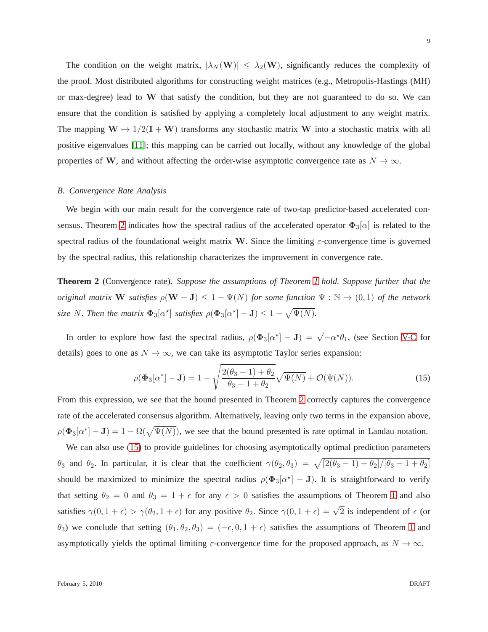The condition on the weight matrix,  $|\lambda_N(\mathbf{W})| \leq \lambda_2(\mathbf{W})$ , significantly reduces the complexity of the proof. Most distributed algorithms for constructing weight matrices (e.g., Metropolis-Hastings (MH) or max-degree) lead to  $W$  that satisfy the condition, but they are not guaranteed to do so. We can ensure that the condition is satisfied by applying a completely local adjustment to any weight matrix. The mapping  $W \mapsto 1/2(I + W)$  transforms any stochastic matrix W into a stochastic matrix with all positive eigenvalues [\[11\]](#page-29-5); this mapping can be carried out locally, without any knowledge of the global properties of W, and without affecting the order-wise asymptotic convergence rate as  $N \to \infty$ .

#### <span id="page-8-0"></span>*B. Convergence Rate Analysis*

We begin with our main result for the convergence rate of two-tap predictor-based accelerated con-sensus. Theorem [2](#page-8-1) indicates how the spectral radius of the accelerated operator  $\Phi_3[\alpha]$  is related to the spectral radius of the foundational weight matrix W. Since the limiting  $\varepsilon$ -convergence time is governed by the spectral radius, this relationship characterizes the improvement in convergence rate.

<span id="page-8-1"></span>**Theorem 2** (Convergence rate)**.** *Suppose the assumptions of Theorem [1](#page-7-0) hold. Suppose further that the original matrix* W *satisfies*  $\rho(W - J) \leq 1 - \Psi(N)$  *for some function*  $\Psi : \mathbb{N} \to (0, 1)$  *of the network size* N. Then the matrix  $\Phi_3[\alpha^{\star}]$  *satisfies*  $\rho(\Phi_3[\alpha^{\star}] - J) \leq 1 - \sqrt{\Psi(N)}$ .

In order to explore how fast the spectral radius,  $\rho(\Phi_3[\alpha^*]-J) = \sqrt{-\alpha^* \theta_1}$ , (see Section [V-C](#page-27-0) for details) goes to one as  $N \to \infty$ , we can take its asymptotic Taylor series expansion:

<span id="page-8-2"></span>
$$
\rho(\Phi_3[\alpha^*] - \mathbf{J}) = 1 - \sqrt{\frac{2(\theta_3 - 1) + \theta_2}{\theta_3 - 1 + \theta_2}} \sqrt{\Psi(N)} + \mathcal{O}(\Psi(N)).
$$
\n(15)

From this expression, we see that the bound presented in Theorem [2](#page-8-1) correctly captures the convergence rate of the accelerated consensus algorithm. Alternatively, leaving only two terms in the expansion above,  $\rho(\Phi_3[\alpha^*]-J) = 1 - \Omega(\sqrt{\Psi(N)})$ , we see that the bound presented is rate optimal in Landau notation.

We can also use [\(15\)](#page-8-2) to provide guidelines for choosing asymptotically optimal prediction parameters θ<sub>3</sub> and θ<sub>2</sub>. In particular, it is clear that the coefficient  $\gamma(\theta_2, \theta_3) = \sqrt{[2(\theta_3 - 1) + \theta_2]/[\theta_3 - 1 + \theta_2]}$ should be maximized to minimize the spectral radius  $\rho(\Phi_3[\alpha^*]-J)$ . It is straightforward to verify that setting  $\theta_2 = 0$  and  $\theta_3 = 1 + \epsilon$  $\theta_3 = 1 + \epsilon$  $\theta_3 = 1 + \epsilon$  for any  $\epsilon > 0$  satisfies the assumptions of Theorem 1 and also satisfies  $\gamma(0, 1 + \epsilon) > \gamma(\theta_2, 1 + \epsilon)$  for any positive  $\theta_2$ . Since  $\gamma(0, 1 + \epsilon) = \sqrt{2}$  is independent of  $\epsilon$  (or  $\theta_3$ ) we conclude that setting  $(\theta_1, \theta_2, \theta_3) = (-\epsilon, 0, 1 + \epsilon)$  $(\theta_1, \theta_2, \theta_3) = (-\epsilon, 0, 1 + \epsilon)$  $(\theta_1, \theta_2, \theta_3) = (-\epsilon, 0, 1 + \epsilon)$  satisfies the assumptions of Theorem 1 and asymptotically yields the optimal limiting  $\varepsilon$ -convergence time for the proposed approach, as  $N \to \infty$ .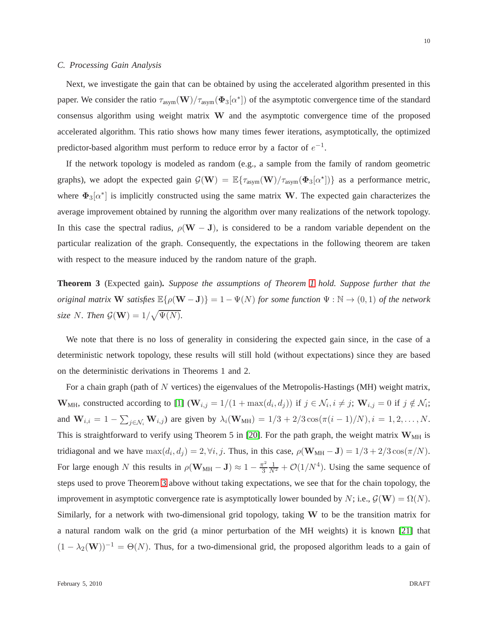## <span id="page-9-0"></span>*C. Processing Gain Analysis*

Next, we investigate the gain that can be obtained by using the accelerated algorithm presented in this paper. We consider the ratio  $\tau_{\text{asym}}(\mathbf{W})/\tau_{\text{asym}}(\mathbf{\Phi}_3[\alpha^*])$  of the asymptotic convergence time of the standard consensus algorithm using weight matrix W and the asymptotic convergence time of the proposed accelerated algorithm. This ratio shows how many times fewer iterations, asymptotically, the optimized predictor-based algorithm must perform to reduce error by a factor of  $e^{-1}$ .

If the network topology is modeled as random (e.g., a sample from the family of random geometric graphs), we adopt the expected gain  $G(\mathbf{W}) = \mathbb{E}\{\tau_{\text{asym}}(\mathbf{W})/\tau_{\text{asym}}(\Phi_3[\alpha^*])\}$  as a performance metric, where  $\Phi_3[\alpha^*]$  is implicitly constructed using the same matrix W. The expected gain characterizes the average improvement obtained by running the algorithm over many realizations of the network topology. In this case the spectral radius,  $\rho(W - J)$ , is considered to be a random variable dependent on the particular realization of the graph. Consequently, the expectations in the following theorem are taken with respect to the measure induced by the random nature of the graph.

<span id="page-9-1"></span>**Theorem 3** (Expected gain)**.** *Suppose the assumptions of Theorem [1](#page-7-0) hold. Suppose further that the original matrix* W *satisfies*  $\mathbb{E}\{\rho(\mathbf{W}-\mathbf{J})\}=1-\Psi(N)$  *for some function*  $\Psi : \mathbb{N} \to (0,1)$  *of the network size* N. Then  $\mathcal{G}(\mathbf{W}) = 1/\sqrt{\Psi(N)}$ .

We note that there is no loss of generality in considering the expected gain since, in the case of a deterministic network topology, these results will still hold (without expectations) since they are based on the deterministic derivations in Theorems 1 and 2.

For a chain graph (path of N vertices) the eigenvalues of the Metropolis-Hastings (MH) weight matrix, **W**<sub>MH</sub>, constructed according to [\[1\]](#page-29-0) (**W**<sub>*i*,*j*</sub> = 1/(1 + max( $d_i$ , $d_j$ )) if  $j \in \mathcal{N}_i$ ,  $i \neq j$ ; **W**<sub>*i*,*j* = 0 if  $j \notin \mathcal{N}_i$ ;</sub> and  $W_{i,i} = 1 - \sum_{j \in \mathcal{N}_i} W_{i,j}$  are given by  $\lambda_i(W_{MH}) = 1/3 + 2/3 \cos(\pi(i-1)/N), i = 1, 2, ..., N$ . This is straightforward to verify using Theorem 5 in [\[20\]](#page-29-16). For the path graph, the weight matrix  $W_{MH}$  is tridiagonal and we have  $\max(d_i, d_j) = 2, \forall i, j$ . Thus, in this case,  $\rho(\mathbf{W}_{MH} - \mathbf{J}) = 1/3 + 2/3 \cos(\pi/N)$ . For large enough N this results in  $\rho(\mathbf{W}_{MH} - \mathbf{J}) \approx 1 - \frac{\pi^2}{3}$ 3  $\frac{1}{N^2} + \mathcal{O}(1/N^4)$ . Using the same sequence of steps used to prove Theorem [3](#page-9-1) above without taking expectations, we see that for the chain topology, the improvement in asymptotic convergence rate is asymptotically lower bounded by N; i.e.,  $\mathcal{G}(\mathbf{W}) = \Omega(N)$ . Similarly, for a network with two-dimensional grid topology, taking W to be the transition matrix for a natural random walk on the grid (a minor perturbation of the MH weights) it is known [\[21\]](#page-30-0) that  $(1 - \lambda_2(\mathbf{W}))^{-1} = \Theta(N)$ . Thus, for a two-dimensional grid, the proposed algorithm leads to a gain of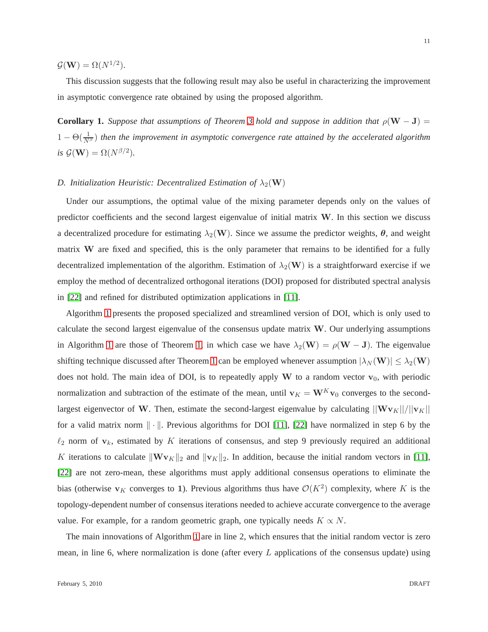$\mathcal{G}(\mathbf{W}) = \Omega(N^{1/2}).$ 

This discussion suggests that the following result may also be useful in characterizing the improvement in asymptotic convergence rate obtained by using the proposed algorithm.

**Corollary 1.** *Suppose that assumptions of Theorem [3](#page-9-1) hold and suppose in addition that*  $\rho(\mathbf{W} - \mathbf{J}) =$  $1 - \Theta(\frac{1}{N^{\beta}})$  then the improvement in asymptotic convergence rate attained by the accelerated algorithm *is*  $G(\mathbf{W}) = \Omega(N^{\beta/2})$ .

#### <span id="page-10-0"></span>*D. Initialization Heuristic: Decentralized Estimation of*  $\lambda_2(\mathbf{W})$

Under our assumptions, the optimal value of the mixing parameter depends only on the values of predictor coefficients and the second largest eigenvalue of initial matrix W. In this section we discuss a decentralized procedure for estimating  $\lambda_2(\mathbf{W})$ . Since we assume the predictor weights,  $\boldsymbol{\theta}$ , and weight matrix W are fixed and specified, this is the only parameter that remains to be identified for a fully decentralized implementation of the algorithm. Estimation of  $\lambda_2(\mathbf{W})$  is a straightforward exercise if we employ the method of decentralized orthogonal iterations (DOI) proposed for distributed spectral analysis in [\[22\]](#page-30-1) and refined for distributed optimization applications in [\[11\]](#page-29-5).

Algorithm [1](#page-10-1) presents the proposed specialized and streamlined version of DOI, which is only used to calculate the second largest eigenvalue of the consensus update matrix  $W$ . Our underlying assumptions in Algorithm [1](#page-10-1) are those of Theorem [1,](#page-7-0) in which case we have  $\lambda_2(\mathbf{W}) = \rho(\mathbf{W} - \mathbf{J})$ . The eigenvalue shifting technique discussed after Theorem [1](#page-7-0) can be employed whenever assumption  $|\lambda_N(\mathbf{W})| \leq \lambda_2(\mathbf{W})$ does not hold. The main idea of DOI, is to repeatedly apply W to a random vector  $v_0$ , with periodic normalization and subtraction of the estimate of the mean, until  $v_K = W^K v_0$  converges to the secondlargest eigenvector of W. Then, estimate the second-largest eigenvalue by calculating  $||Wv_K||/||v_K||$ for a valid matrix norm  $\|\cdot\|$ . Previous algorithms for DOI [\[11\]](#page-29-5), [\[22\]](#page-30-1) have normalized in step 6 by the  $\ell_2$  norm of  $v_k$ , estimated by K iterations of consensus, and step 9 previously required an additional K iterations to calculate  $\|\mathbf{Wv}_K\|_2$  and  $\|\mathbf{v}_K\|_2$ . In addition, because the initial random vectors in [\[11\]](#page-29-5), [\[22\]](#page-30-1) are not zero-mean, these algorithms must apply additional consensus operations to eliminate the bias (otherwise  $v_K$  converges to 1). Previous algorithms thus have  $\mathcal{O}(K^2)$  complexity, where K is the topology-dependent number of consensus iterations needed to achieve accurate convergence to the average value. For example, for a random geometric graph, one typically needs  $K \propto N$ .

<span id="page-10-1"></span>The main innovations of Algorithm [1](#page-10-1) are in line 2, which ensures that the initial random vector is zero mean, in line 6, where normalization is done (after every  $L$  applications of the consensus update) using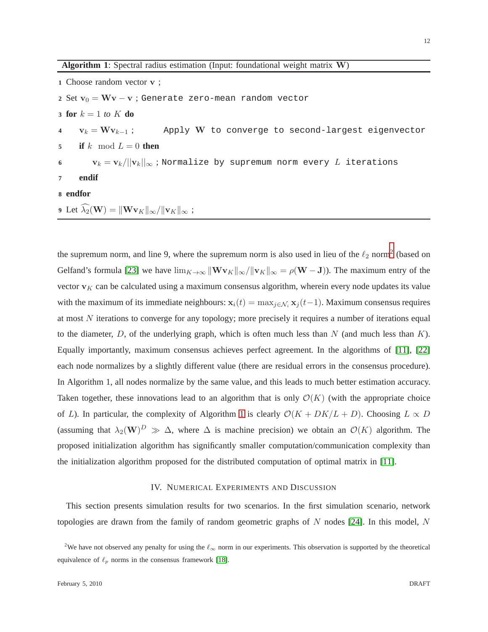**Algorithm 1**: Spectral radius estimation (Input: foundational weight matrix W)

**1** Choose random vector v ;

- 2 Set  $v_0 = Wv v$ ; Generate zero-mean random vector
- **3 for** k = 1 *to* K **do**

**4**  $v_k = Wv_{k-1}$ ; Apply W to converge to second-largest eigenvector

**5 if** k mod  $L = 0$  **then** 

**6**  $\mathbf{v}_k = \mathbf{v}_k / ||\mathbf{v}_k||_{\infty}$ ; Normalize by supremum norm every L iterations

- **7 endif**
- **8 endfor**
- **9** Let  $\widehat{\lambda}_2(\mathbf{W}) = ||\mathbf{W} \mathbf{v}_K||_{\infty} / ||\mathbf{v}_K||_{\infty}$ ;

the supremum norm, and line 9, where the supremum norm is also used in lieu of the  $\ell_2$  $\ell_2$  norm<sup>2</sup> (based on Gelfand's formula [\[23\]](#page-30-2) we have  $\lim_{K\to\infty} ||\mathbf{W} \mathbf{v}_K||_{\infty} / ||\mathbf{v}_K||_{\infty} = \rho(\mathbf{W} - \mathbf{J})$ ). The maximum entry of the vector  $v<sub>K</sub>$  can be calculated using a maximum consensus algorithm, wherein every node updates its value with the maximum of its immediate neighbours:  $x_i(t) = \max_{j \in \mathcal{N}_i} x_j(t-1)$ . Maximum consensus requires at most N iterations to converge for any topology; more precisely it requires a number of iterations equal to the diameter,  $D$ , of the underlying graph, which is often much less than  $N$  (and much less than  $K$ ). Equally importantly, maximum consensus achieves perfect agreement. In the algorithms of [\[11\]](#page-29-5), [\[22\]](#page-30-1) each node normalizes by a slightly different value (there are residual errors in the consensus procedure). In Algorithm 1, all nodes normalize by the same value, and this leads to much better estimation accuracy. Taken together, these innovations lead to an algorithm that is only  $\mathcal{O}(K)$  (with the appropriate choice of L). In particular, the complexity of Algorithm [1](#page-10-1) is clearly  $\mathcal{O}(K + DK/L + D)$ . Choosing  $L \propto D$ (assuming that  $\lambda_2(\mathbf{W})^D \gg \Delta$ , where  $\Delta$  is machine precision) we obtain an  $\mathcal{O}(K)$  algorithm. The proposed initialization algorithm has significantly smaller computation/communication complexity than the initialization algorithm proposed for the distributed computation of optimal matrix in [\[11\]](#page-29-5).

# IV. NUMERICAL EXPERIMENTS AND DISCUSSION

<span id="page-11-0"></span>This section presents simulation results for two scenarios. In the first simulation scenario, network topologies are drawn from the family of random geometric graphs of  $N$  nodes [\[24\]](#page-30-3). In this model,  $N$ 

<span id="page-11-1"></span><sup>&</sup>lt;sup>2</sup>We have not observed any penalty for using the  $\ell_{\infty}$  norm in our experiments. This observation is supported by the theoretical equivalence of  $\ell_p$  norms in the consensus framework [\[18\]](#page-29-14).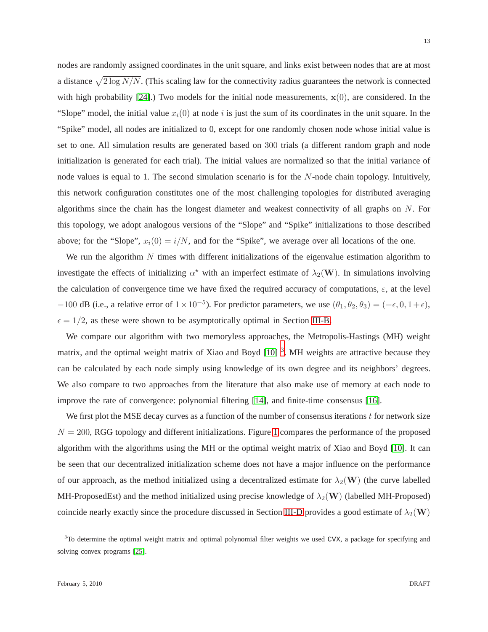13

nodes are randomly assigned coordinates in the unit square, and links exist between nodes that are at most a distance  $\sqrt{2 \log N/N}$ . (This scaling law for the connectivity radius guarantees the network is connected with high probability [\[24\]](#page-30-3).) Two models for the initial node measurements,  $\mathbf{x}(0)$ , are considered. In the "Slope" model, the initial value  $x_i(0)$  at node i is just the sum of its coordinates in the unit square. In the "Spike" model, all nodes are initialized to 0, except for one randomly chosen node whose initial value is set to one. All simulation results are generated based on 300 trials (a different random graph and node initialization is generated for each trial). The initial values are normalized so that the initial variance of node values is equal to 1. The second simulation scenario is for the  $N$ -node chain topology. Intuitively, this network configuration constitutes one of the most challenging topologies for distributed averaging algorithms since the chain has the longest diameter and weakest connectivity of all graphs on  $N$ . For this topology, we adopt analogous versions of the "Slope" and "Spike" initializations to those described above; for the "Slope",  $x_i(0) = i/N$ , and for the "Spike", we average over all locations of the one.

We run the algorithm  $N$  times with different initializations of the eigenvalue estimation algorithm to investigate the effects of initializing  $\alpha^*$  with an imperfect estimate of  $\lambda_2(\mathbf{W})$ . In simulations involving the calculation of convergence time we have fixed the required accuracy of computations,  $\varepsilon$ , at the level  $-100$  dB (i.e., a relative error of  $1 \times 10^{-5}$ ). For predictor parameters, we use  $(\theta_1, \theta_2, \theta_3) = (-\epsilon, 0, 1+\epsilon)$ ,  $\epsilon = 1/2$ , as these were shown to be asymptotically optimal in Section [III-B.](#page-8-0)

We compare our algorithm with two memoryless approaches, the Metropolis-Hastings (MH) weight matrix, and the optimal weight matrix of Xiao and Boyd  $[10]$ <sup>[3](#page-12-0)</sup>. MH weights are attractive because they can be calculated by each node simply using knowledge of its own degree and its neighbors' degrees. We also compare to two approaches from the literature that also make use of memory at each node to improve the rate of convergence: polynomial filtering [\[14\]](#page-29-11), and finite-time consensus [\[16\]](#page-29-10).

We first plot the MSE decay curves as a function of the number of consensus iterations  $t$  for network size  $N = 200$ , RGG topology and different initializations. Figure [1](#page-13-0) compares the performance of the proposed algorithm with the algorithms using the MH or the optimal weight matrix of Xiao and Boyd [\[10\]](#page-29-4). It can be seen that our decentralized initialization scheme does not have a major influence on the performance of our approach, as the method initialized using a decentralized estimate for  $\lambda_2(\mathbf{W})$  (the curve labelled MH-ProposedEst) and the method initialized using precise knowledge of  $\lambda_2(\mathbf{W})$  (labelled MH-Proposed) coincide nearly exactly since the procedure discussed in Section [III-D](#page-10-0) provides a good estimate of  $\lambda_2(\mathbf{W})$ 

<span id="page-12-0"></span><sup>&</sup>lt;sup>3</sup>To determine the optimal weight matrix and optimal polynomial filter weights we used CVX, a package for specifying and solving convex programs [\[25\]](#page-30-4).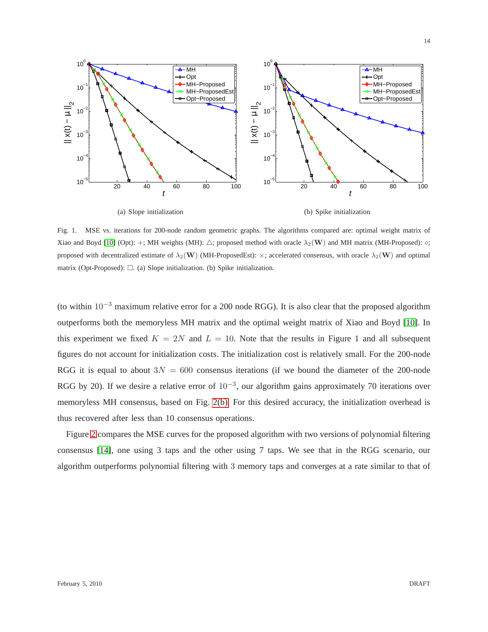

<span id="page-13-0"></span>Fig. 1. MSE vs. iterations for 200-node random geometric graphs. The algorithms compared are: optimal weight matrix of Xiao and Boyd [\[10\]](#page-29-4) (Opt): +; MH weights (MH):  $\triangle$ ; proposed method with oracle  $\lambda_2(\mathbf{W})$  and MH matrix (MH-Proposed):  $\diamond$ ; proposed with decentralized estimate of  $\lambda_2(\mathbf{W})$  (MH-ProposedEst):  $\times$ ; accelerated consensus, with oracle  $\lambda_2(\mathbf{W})$  and optimal matrix (Opt-Proposed):  $\Box$ . (a) Slope initialization. (b) Spike initialization.

(to within 10−<sup>3</sup> maximum relative error for a 200 node RGG). It is also clear that the proposed algorithm outperforms both the memoryless MH matrix and the optimal weight matrix of Xiao and Boyd [\[10\]](#page-29-4). In this experiment we fixed  $K = 2N$  and  $L = 10$ . Note that the results in Figure 1 and all subsequent figures do not account for initialization costs. The initialization cost is relatively small. For the 200-node RGG it is equal to about  $3N = 600$  consensus iterations (if we bound the diameter of the 200-node RGG by 20). If we desire a relative error of  $10^{-3}$ , our algorithm gains approximately 70 iterations over memoryless MH consensus, based on Fig. [2\(b\).](#page-14-0) For this desired accuracy, the initialization overhead is thus recovered after less than 10 consensus operations.

Figure [2](#page-14-1) compares the MSE curves for the proposed algorithm with two versions of polynomial filtering consensus [\[14\]](#page-29-11), one using 3 taps and the other using 7 taps. We see that in the RGG scenario, our algorithm outperforms polynomial filtering with 3 memory taps and converges at a rate similar to that of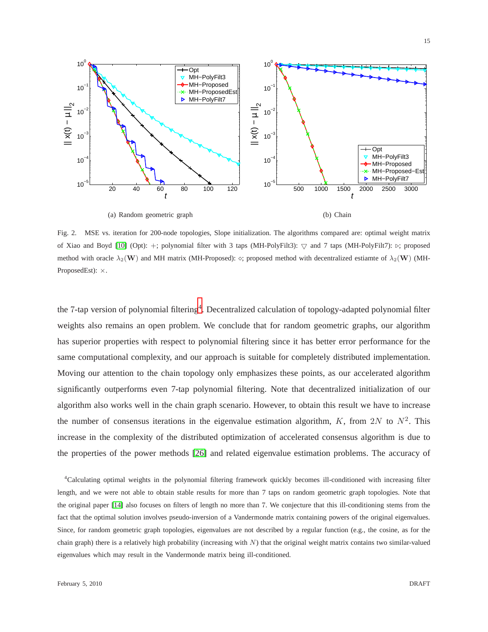

<span id="page-14-1"></span><span id="page-14-0"></span>Fig. 2. MSE vs. iteration for 200-node topologies, Slope initialization. The algorithms compared are: optimal weight matrix of Xiao and Boyd [\[10\]](#page-29-4) (Opt): +; polynomial filter with 3 taps (MH-PolyFilt3):  $\bigtriangledown$  and 7 taps (MH-PolyFilt7): ⊳; proposed method with oracle  $\lambda_2(\mathbf{W})$  and MH matrix (MH-Proposed):  $\diamond$ ; proposed method with decentralized estiamte of  $\lambda_2(\mathbf{W})$  (MH-ProposedEst): ×.

the 7-tap version of polynomial filtering<sup>[4](#page-14-2)</sup>. Decentralized calculation of topology-adapted polynomial filter weights also remains an open problem. We conclude that for random geometric graphs, our algorithm has superior properties with respect to polynomial filtering since it has better error performance for the same computational complexity, and our approach is suitable for completely distributed implementation. Moving our attention to the chain topology only emphasizes these points, as our accelerated algorithm significantly outperforms even 7-tap polynomial filtering. Note that decentralized initialization of our algorithm also works well in the chain graph scenario. However, to obtain this result we have to increase the number of consensus iterations in the eigenvalue estimation algorithm, K, from 2N to  $N^2$ . This increase in the complexity of the distributed optimization of accelerated consensus algorithm is due to the properties of the power methods [\[26\]](#page-30-5) and related eigenvalue estimation problems. The accuracy of

<span id="page-14-2"></span><sup>4</sup>Calculating optimal weights in the polynomial filtering framework quickly becomes ill-conditioned with increasing filter length, and we were not able to obtain stable results for more than 7 taps on random geometric graph topologies. Note that the original paper [\[14\]](#page-29-11) also focuses on filters of length no more than 7. We conjecture that this ill-conditioning stems from the fact that the optimal solution involves pseudo-inversion of a Vandermonde matrix containing powers of the original eigenvalues. Since, for random geometric graph topologies, eigenvalues are not described by a regular function (e.g., the cosine, as for the chain graph) there is a relatively high probability (increasing with  $N$ ) that the original weight matrix contains two similar-valued eigenvalues which may result in the Vandermonde matrix being ill-conditioned.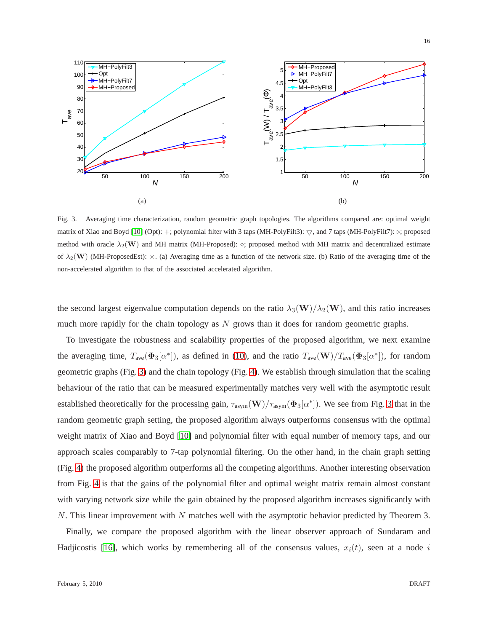

<span id="page-15-0"></span>Fig. 3. Averaging time characterization, random geometric graph topologies. The algorithms compared are: optimal weight matrix of Xiao and Boyd [\[10\]](#page-29-4) (Opt): +; polynomial filter with 3 taps (MH-PolyFilt3):  $\bigtriangledown$ , and 7 taps (MH-PolyFilt7):  $\succ$ ; proposed method with oracle  $\lambda_2(\mathbf{W})$  and MH matrix (MH-Proposed):  $\diamond$ ; proposed method with MH matrix and decentralized estimate of  $\lambda_2(\mathbf{W})$  (MH-ProposedEst):  $\times$ . (a) Averaging time as a function of the network size. (b) Ratio of the averaging time of the non-accelerated algorithm to that of the associated accelerated algorithm.

the second largest eigenvalue computation depends on the ratio  $\lambda_3(\mathbf{W})/\lambda_2(\mathbf{W})$ , and this ratio increases much more rapidly for the chain topology as  $N$  grows than it does for random geometric graphs.

To investigate the robustness and scalability properties of the proposed algorithm, we next examine the averaging time,  $T_{ave}(\Phi_3[\alpha^*])$ , as defined in [\(10\)](#page-6-1), and the ratio  $T_{ave}(\mathbf{W})/T_{ave}(\Phi_3[\alpha^*])$ , for random geometric graphs (Fig. [3\)](#page-15-0) and the chain topology (Fig. [4\)](#page-16-0). We establish through simulation that the scaling behaviour of the ratio that can be measured experimentally matches very well with the asymptotic result established theoretically for the processing gain,  $\tau_{\text{asym}}(\mathbf{W})/\tau_{\text{asym}}(\mathbf{\Phi}_3[\alpha^*])$ . We see from Fig. [3](#page-15-0) that in the random geometric graph setting, the proposed algorithm always outperforms consensus with the optimal weight matrix of Xiao and Boyd [\[10\]](#page-29-4) and polynomial filter with equal number of memory taps, and our approach scales comparably to 7-tap polynomial filtering. On the other hand, in the chain graph setting (Fig. [4\)](#page-16-0) the proposed algorithm outperforms all the competing algorithms. Another interesting observation from Fig. [4](#page-16-0) is that the gains of the polynomial filter and optimal weight matrix remain almost constant with varying network size while the gain obtained by the proposed algorithm increases significantly with  $N$ . This linear improvement with  $N$  matches well with the asymptotic behavior predicted by Theorem 3.

Finally, we compare the proposed algorithm with the linear observer approach of Sundaram and Hadjicostis [\[16\]](#page-29-10), which works by remembering all of the consensus values,  $x_i(t)$ , seen at a node i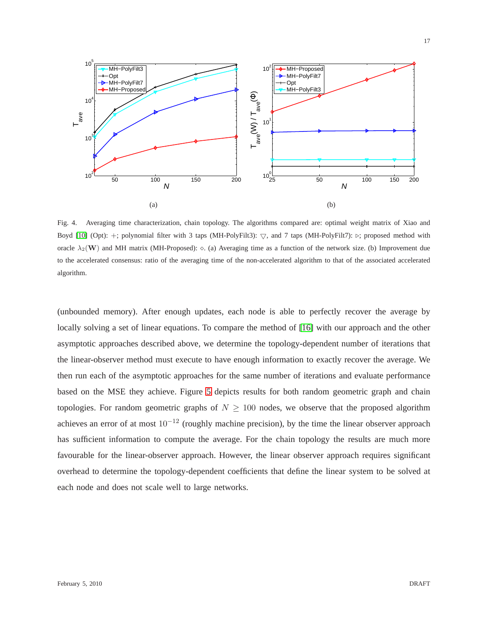

(b)

<span id="page-16-0"></span>Fig. 4. Averaging time characterization, chain topology. The algorithms compared are: optimal weight matrix of Xiao and Boyd [\[10\]](#page-29-4) (Opt): +; polynomial filter with 3 taps (MH-PolyFilt3):  $\bigtriangledown$ , and 7 taps (MH-PolyFilt7):  $\triangleright$ ; proposed method with oracle  $\lambda_2(\mathbf{W})$  and MH matrix (MH-Proposed):  $\diamond$ . (a) Averaging time as a function of the network size. (b) Improvement due to the accelerated consensus: ratio of the averaging time of the non-accelerated algorithm to that of the associated accelerated algorithm.

(a)

(unbounded memory). After enough updates, each node is able to perfectly recover the average by locally solving a set of linear equations. To compare the method of [\[16\]](#page-29-10) with our approach and the other asymptotic approaches described above, we determine the topology-dependent number of iterations that the linear-observer method must execute to have enough information to exactly recover the average. We then run each of the asymptotic approaches for the same number of iterations and evaluate performance based on the MSE they achieve. Figure [5](#page-17-2) depicts results for both random geometric graph and chain topologies. For random geometric graphs of  $N \geq 100$  nodes, we observe that the proposed algorithm achieves an error of at most  $10^{-12}$  (roughly machine precision), by the time the linear observer approach has sufficient information to compute the average. For the chain topology the results are much more favourable for the linear-observer approach. However, the linear observer approach requires significant overhead to determine the topology-dependent coefficients that define the linear system to be solved at each node and does not scale well to large networks.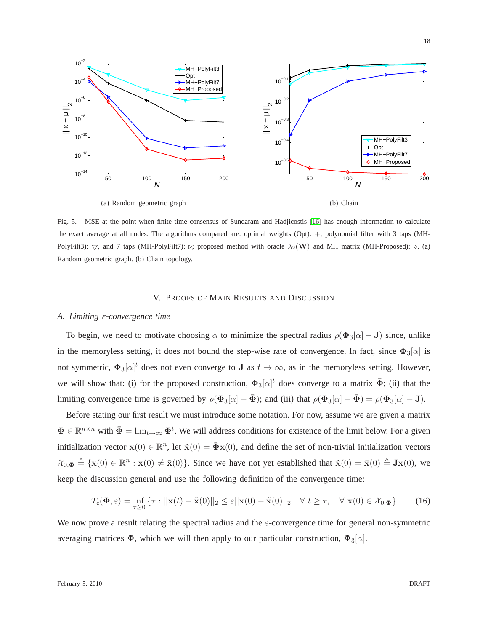

<span id="page-17-2"></span>Fig. 5. MSE at the point when finite time consensus of Sundaram and Hadjicostis [\[16\]](#page-29-10) has enough information to calculate the exact average at all nodes. The algorithms compared are: optimal weights (Opt): +; polynomial filter with 3 taps (MH-PolyFilt3):  $\nabla$ , and 7 taps (MH-PolyFilt7): ⊳; proposed method with oracle  $\lambda_2(\mathbf{W})$  and MH matrix (MH-Proposed): ◇. (a) Random geometric graph. (b) Chain topology.

## V. PROOFS OF MAIN RESULTS AND DISCUSSION

#### <span id="page-17-1"></span><span id="page-17-0"></span>*A. Limiting* ε*-convergence time*

To begin, we need to motivate choosing  $\alpha$  to minimize the spectral radius  $\rho(\Phi_3[\alpha] - J)$  since, unlike in the memoryless setting, it does not bound the step-wise rate of convergence. In fact, since  $\Phi_3[\alpha]$  is not symmetric,  $\Phi_3[\alpha]^t$  does not even converge to J as  $t \to \infty$ , as in the memoryless setting. However, we will show that: (i) for the proposed construction,  $\Phi_3[\alpha]^t$  does converge to a matrix  $\bar{\Phi}$ ; (ii) that the limiting convergence time is governed by  $\rho(\Phi_3[\alpha] - \bar{\Phi})$ ; and (iii) that  $\rho(\Phi_3[\alpha] - \bar{\Phi}) = \rho(\Phi_3[\alpha] - \mathbf{J})$ .

Before stating our first result we must introduce some notation. For now, assume we are given a matrix  $\Phi \in \mathbb{R}^{n \times n}$  with  $\bar{\Phi} = \lim_{t \to \infty} \Phi^t$ . We will address conditions for existence of the limit below. For a given initialization vector  $\mathbf{x}(0) \in \mathbb{R}^n$ , let  $\tilde{\mathbf{x}}(0) = \bar{\mathbf{\Phi}} \mathbf{x}(0)$ , and define the set of non-trivial initialization vectors  $\mathcal{X}_{0,\Phi} \triangleq {\mathbf{x}(0) \in \mathbb{R}^n : \mathbf{x}(0) \neq \tilde{\mathbf{x}}(0)}$ . Since we have not yet established that  $\tilde{\mathbf{x}}(0) = \bar{\mathbf{x}}(0) \triangleq \mathbf{J}\mathbf{x}(0)$ , we keep the discussion general and use the following definition of the convergence time:

$$
T_{\mathbf{c}}(\mathbf{\Phi}, \varepsilon) = \inf_{\tau \ge 0} \left\{ \tau : ||\mathbf{x}(t) - \tilde{\mathbf{x}}(0)||_2 \le \varepsilon ||\mathbf{x}(0) - \tilde{\mathbf{x}}(0)||_2 \quad \forall \ t \ge \tau, \quad \forall \ \mathbf{x}(0) \in \mathcal{X}_{0, \mathbf{\Phi}} \right\} \tag{16}
$$

We now prove a result relating the spectral radius and the  $\varepsilon$ -convergence time for general non-symmetric averaging matrices  $\Phi$ , which we will then apply to our particular construction,  $\Phi_3[\alpha]$ .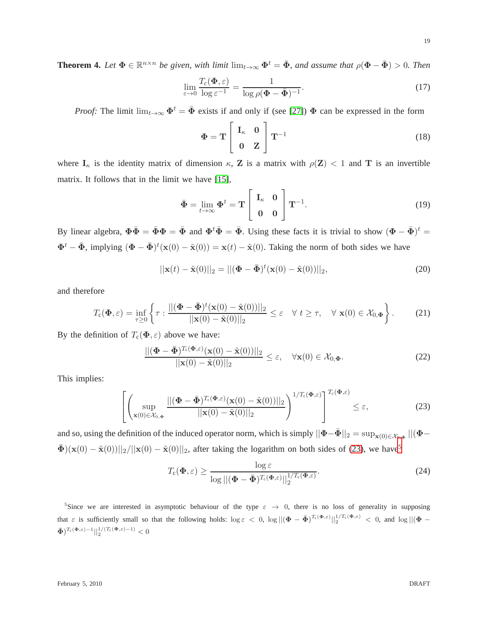19

<span id="page-18-4"></span>**Theorem 4.** Let  $\Phi \in \mathbb{R}^{n \times n}$  be given, with limit  $\lim_{t\to\infty} \Phi^t = \bar{\Phi}$ , and assume that  $\rho(\Phi - \bar{\Phi}) > 0$ . Then

$$
\lim_{\varepsilon \to 0} \frac{T_c(\mathbf{\Phi}, \varepsilon)}{\log \varepsilon^{-1}} = \frac{1}{\log \rho(\mathbf{\Phi} - \bar{\mathbf{\Phi}})^{-1}}.
$$
\n(17)

*Proof:* The limit  $\lim_{t\to\infty} \Phi^t = \bar{\Phi}$  exists if and only if (see [\[27\]](#page-30-6))  $\Phi$  can be expressed in the form

$$
\Phi = \mathbf{T} \begin{bmatrix} \mathbf{I}_{\kappa} & \mathbf{0} \\ \mathbf{0} & \mathbf{Z} \end{bmatrix} \mathbf{T}^{-1}
$$
 (18)

where  $I_{\kappa}$  is the identity matrix of dimension  $\kappa$ , Z is a matrix with  $\rho(Z) < 1$  and T is an invertible matrix. It follows that in the limit we have [\[15\]](#page-29-8),

$$
\bar{\Phi} = \lim_{t \to \infty} \Phi^t = \mathbf{T} \begin{bmatrix} \mathbf{I}_{\kappa} & \mathbf{0} \\ \mathbf{0} & \mathbf{0} \end{bmatrix} \mathbf{T}^{-1}.
$$
 (19)

By linear algebra,  $\Phi \bar{\Phi} = \bar{\Phi} \Phi = \bar{\Phi}$  and  $\Phi^t \bar{\Phi} = \bar{\Phi}$ . Using these facts it is trivial to show  $(\Phi - \bar{\Phi})^t =$  $\Phi^t - \bar{\Phi}$ , implying  $(\Phi - \bar{\Phi})^t (\mathbf{x}(0) - \tilde{\mathbf{x}}(0)) = \mathbf{x}(t) - \tilde{\mathbf{x}}(0)$ . Taking the norm of both sides we have

<span id="page-18-2"></span>
$$
||\mathbf{x}(t) - \tilde{\mathbf{x}}(0)||_2 = ||(\mathbf{\Phi} - \bar{\mathbf{\Phi}})^t(\mathbf{x}(0) - \tilde{\mathbf{x}}(0))||_2,
$$
\n(20)

and therefore

$$
T_{\mathbf{c}}(\mathbf{\Phi},\varepsilon) = \inf_{\tau \geq 0} \left\{ \tau : \frac{||(\mathbf{\Phi} - \bar{\mathbf{\Phi}})^t(\mathbf{x}(0) - \tilde{\mathbf{x}}(0))||_2}{||\mathbf{x}(0) - \tilde{\mathbf{x}}(0)||_2} \leq \varepsilon \quad \forall \ t \geq \tau, \quad \forall \ \mathbf{x}(0) \in \mathcal{X}_{0,\mathbf{\Phi}} \right\}.
$$
 (21)

By the definition of  $T_c(\Phi, \varepsilon)$  above we have:

$$
\frac{\left| \left| \left(\mathbf{\Phi} - \bar{\mathbf{\Phi}}\right)^{T_c(\mathbf{\Phi}, \varepsilon)} (\mathbf{x}(0) - \tilde{\mathbf{x}}(0)) \right| \right|_2}{\left| \left| \mathbf{x}(0) - \tilde{\mathbf{x}}(0) \right| \right|_2} \leq \varepsilon, \quad \forall \mathbf{x}(0) \in \mathcal{X}_{0, \mathbf{\Phi}}.
$$
\n(22)

This implies:

<span id="page-18-0"></span>
$$
\left[\left(\sup_{\mathbf{x}(0)\in\mathcal{X}_{0,\Phi}}\frac{\|(\boldsymbol{\Phi}-\bar{\boldsymbol{\Phi}})^{T_{c}(\boldsymbol{\Phi},\varepsilon)}(\mathbf{x}(0)-\tilde{\mathbf{x}}(0))\|_{2}}{\|\mathbf{x}(0)-\tilde{\mathbf{x}}(0)\|_{2}}\right)^{1/T_{c}(\boldsymbol{\Phi},\varepsilon)}\right]^{T_{c}(\boldsymbol{\Phi},\varepsilon)}\leq\varepsilon,
$$
\n(23)

and so, using the definition of the induced operator norm, which is simply  $||\mathbf{\Phi} - \bar{\mathbf{\Phi}}||_2 = \sup_{\mathbf{x}(0) \in \mathcal{X}_{0,\Phi}} ||(\mathbf{\Phi} - \bar{\mathbf{\Phi}}||_2)$  $\bar{\Phi}$ )(x(0) –  $\tilde{x}(0)$ )||<sub>2</sub>/||x(0) –  $\tilde{x}(0)$ ||<sub>2</sub>, after taking the logarithm on both sides of [\(23\)](#page-18-0), we have<sup>[5](#page-18-1)</sup>

<span id="page-18-3"></span>
$$
T_{\mathrm{c}}(\mathbf{\Phi},\varepsilon) \ge \frac{\log \varepsilon}{\log ||(\mathbf{\Phi} - \bar{\mathbf{\Phi}})^{T_{\mathrm{c}}(\mathbf{\Phi},\varepsilon)}||_2^{1/T_{\mathrm{c}}(\mathbf{\Phi},\varepsilon)}}.
$$
(24)

<span id="page-18-1"></span><sup>5</sup>Since we are interested in asymptotic behaviour of the type  $\varepsilon \to 0$ , there is no loss of generality in supposing that  $\varepsilon$  is sufficiently small so that the following holds:  $\log \varepsilon < 0$ ,  $\log ||(\Phi - \bar{\Phi})^{T_c(\Phi,\varepsilon)}||_2^{1/T_c(\Phi,\varepsilon)} < 0$ , and  $\log ||(\Phi - \bar{\Phi})^{T_c(\Phi,\varepsilon)}||_2^{1/T_c(\Phi,\varepsilon)}$  $\bar{\mathbf{\Phi}}$ )<sup>T<sub>c</sub>( $\mathbf{\Phi}$ , $\varepsilon$ )-1||<sup>1</sup>/(T<sub>c</sub>( $\mathbf{\Phi}$ , $\varepsilon$ )-1) < 0</sup>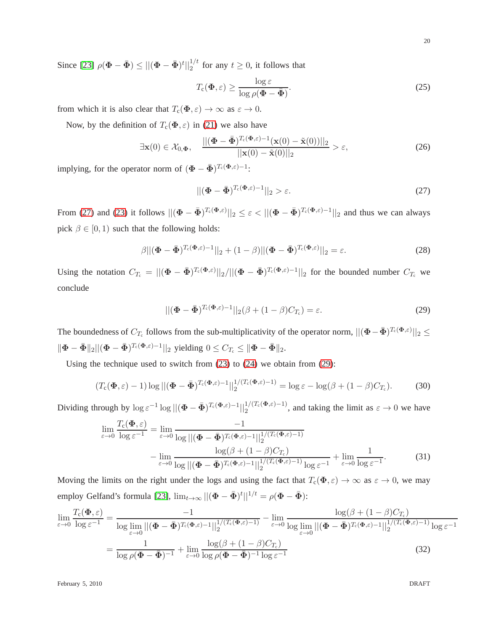Since [\[23\]](#page-30-2)  $\rho(\Phi - \bar{\Phi}) \le ||(\Phi - \bar{\Phi})^t||_2^{1/t}$  for any  $t \ge 0$ , it follows that

<span id="page-19-2"></span>
$$
T_{\rm c}(\Phi, \varepsilon) \ge \frac{\log \varepsilon}{\log \rho(\Phi - \bar{\Phi})}.
$$
 (25)

from which it is also clear that  $T_c(\Phi, \varepsilon) \to \infty$  as  $\varepsilon \to 0$ .

Now, by the definition of  $T_c(\Phi, \varepsilon)$  in [\(21\)](#page-18-2) we also have

$$
\exists \mathbf{x}(0) \in \mathcal{X}_{0,\Phi}, \quad \frac{\|(\mathbf{\Phi} - \bar{\mathbf{\Phi}})^{T_c(\mathbf{\Phi},\varepsilon)-1}(\mathbf{x}(0) - \tilde{\mathbf{x}}(0))\|_2}{\|\mathbf{x}(0) - \tilde{\mathbf{x}}(0)\|_2} > \varepsilon,
$$
\n(26)

implying, for the operator norm of  $(\mathbf{\Phi} - \bar{\mathbf{\Phi}})^{T_c(\mathbf{\Phi}, \varepsilon) - 1}$ :

<span id="page-19-1"></span><span id="page-19-0"></span>
$$
\left\| \left( \mathbf{\Phi} - \bar{\mathbf{\Phi}} \right)^{T_c(\Phi,\varepsilon)-1} \right\|_2 > \varepsilon. \tag{27}
$$

From [\(27\)](#page-19-0) and [\(23\)](#page-18-0) it follows  $||(\mathbf{\Phi} - \bar{\mathbf{\Phi}})^{T_c(\mathbf{\Phi}, \varepsilon)}||_2 \leq \varepsilon < ||(\mathbf{\Phi} - \bar{\mathbf{\Phi}})^{T_c(\mathbf{\Phi}, \varepsilon)-1}||_2$  and thus we can always pick  $\beta \in [0, 1)$  such that the following holds:

$$
\beta||(\mathbf{\Phi} - \bar{\mathbf{\Phi}})^{T_c(\mathbf{\Phi}, \varepsilon) - 1}||_2 + (1 - \beta)||(\mathbf{\Phi} - \bar{\mathbf{\Phi}})^{T_c(\mathbf{\Phi}, \varepsilon)}||_2 = \varepsilon.
$$
\n(28)

Using the notation  $C_{T_c} = ||(\mathbf{\Phi} - \bar{\mathbf{\Phi}})^{T_c(\mathbf{\Phi}, \varepsilon)}||_2/||(\mathbf{\Phi} - \bar{\mathbf{\Phi}})^{T_c(\mathbf{\Phi}, \varepsilon)-1}||_2$  for the bounded number  $C_{T_c}$  we conclude

$$
\|(\mathbf{\Phi} - \bar{\mathbf{\Phi}})^{T_c(\mathbf{\Phi}, \varepsilon) - 1}\|_2 (\beta + (1 - \beta)C_{T_c}) = \varepsilon.
$$
\n(29)

The boundedness of  $C_{T_c}$  follows from the sub-multiplicativity of the operator norm,  $||(\Phi - \bar{\Phi})^{T_c(\Phi,\varepsilon)}||_2 \leq$  $\|\mathbf{\Phi}-\bar{\mathbf{\Phi}}\|_2 ||(\mathbf{\Phi}-\bar{\mathbf{\Phi}})^{T_c(\mathbf{\Phi},\varepsilon)-1}||_2$  yielding  $0 \leq C_{T_c} \leq \|\mathbf{\Phi}-\bar{\mathbf{\Phi}}\|_2$ .

Using the technique used to switch from [\(23\)](#page-18-0) to [\(24\)](#page-18-3) we obtain from [\(29\)](#page-19-1):

$$
(T_{\mathrm{c}}(\boldsymbol{\Phi},\varepsilon)-1)\log||(\boldsymbol{\Phi}-\bar{\boldsymbol{\Phi}})^{T_{\mathrm{c}}(\boldsymbol{\Phi},\varepsilon)-1}||_2^{1/(T_{\mathrm{c}}(\boldsymbol{\Phi},\varepsilon)-1)}=\log\varepsilon-\log(\beta+(1-\beta)C_{T_{\mathrm{c}}}).\tag{30}
$$

Dividing through by  $\log \epsilon^{-1} \log ||(\mathbf{\Phi} - \bar{\mathbf{\Phi}})^{T_c(\mathbf{\Phi}, \epsilon) - 1}||_2^{1/(T_c(\mathbf{\Phi}, \epsilon) - 1)}$ , and taking the limit as  $\epsilon \to 0$  we have

$$
\lim_{\varepsilon \to 0} \frac{T_{\varepsilon}(\Phi, \varepsilon)}{\log \varepsilon^{-1}} = \lim_{\varepsilon \to 0} \frac{-1}{\log ||(\Phi - \bar{\Phi})^{T_{\varepsilon}(\Phi, \varepsilon) - 1}||_2^{1/(T_{\varepsilon}(\Phi, \varepsilon) - 1)}}
$$

$$
- \lim_{\varepsilon \to 0} \frac{\log (\beta + (1 - \beta)C_{T_{\varepsilon}})}{\log ||(\Phi - \bar{\Phi})^{T_{\varepsilon}(\Phi, \varepsilon) - 1}||_2^{1/(T_{\varepsilon}(\Phi, \varepsilon) - 1)} \log \varepsilon^{-1}} + \lim_{\varepsilon \to 0} \frac{1}{\log \varepsilon^{-1}}.
$$
(31)

Moving the limits on the right under the logs and using the fact that  $T_c(\Phi, \varepsilon) \to \infty$  as  $\varepsilon \to 0$ , we may employ Gelfand's formula [\[23\]](#page-30-2),  $\lim_{t\to\infty} ||(\Phi - \bar{\Phi})^t||^{1/t} = \rho(\Phi - \bar{\Phi})$ :

$$
\lim_{\varepsilon \to 0} \frac{T_c(\Phi, \varepsilon)}{\log \varepsilon^{-1}} = \frac{-1}{\log \lim_{\varepsilon \to 0} ||(\Phi - \bar{\Phi})^{T_c(\Phi, \varepsilon) - 1}||_2^{1/(T_c(\Phi, \varepsilon) - 1)}} - \lim_{\varepsilon \to 0} \frac{\log(\beta + (1 - \beta)C_{T_c})}{\log \lim_{\varepsilon \to 0} ||(\Phi - \bar{\Phi})^{T_c(\Phi, \varepsilon) - 1}||_2^{1/(T_c(\Phi, \varepsilon) - 1)} \log \varepsilon^{-1}}
$$
\n
$$
= \frac{1}{\log \rho(\Phi - \bar{\Phi})^{-1}} + \lim_{\varepsilon \to 0} \frac{\log(\beta + (1 - \beta)C_{T_c})}{\log \rho(\Phi - \bar{\Phi})^{-1} \log \varepsilon^{-1}}
$$
\n(32)

February 5, 2010 DRAFT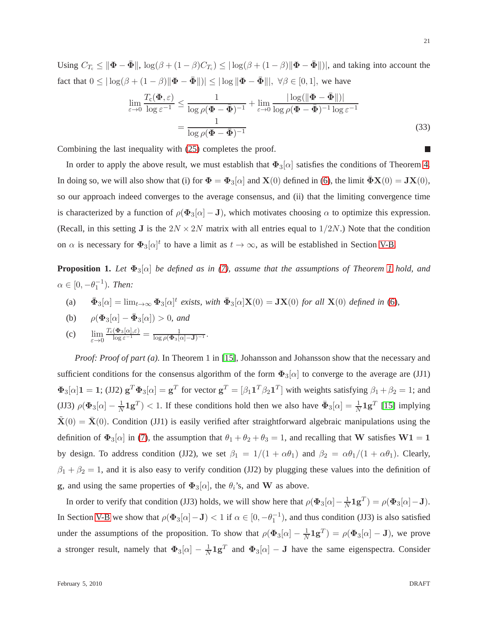Using  $C_{T_c} \le ||\mathbf{\Phi} - \bar{\mathbf{\Phi}}||$ ,  $\log(\beta + (1 - \beta)C_{T_c}) \le |\log(\beta + (1 - \beta)||\mathbf{\Phi} - \bar{\mathbf{\Phi}}||)|$ , and taking into account the fact that  $0 \leq |\log(\beta + (1 - \beta)||\Phi - \bar{\Phi}||)| \leq |\log|\Phi - \bar{\Phi}|||, \ \forall \beta \in [0, 1],$  we have

$$
\lim_{\varepsilon \to 0} \frac{T_{\mathbf{c}}(\mathbf{\Phi}, \varepsilon)}{\log \varepsilon^{-1}} \le \frac{1}{\log \rho(\mathbf{\Phi} - \bar{\mathbf{\Phi}})^{-1}} + \lim_{\varepsilon \to 0} \frac{|\log(\|\mathbf{\Phi} - \bar{\mathbf{\Phi}}\|)|}{\log \rho(\mathbf{\Phi} - \bar{\mathbf{\Phi}})^{-1} \log \varepsilon^{-1}}
$$
\n
$$
= \frac{1}{\log \rho(\mathbf{\Phi} - \bar{\mathbf{\Phi}})^{-1}} \tag{33}
$$

Combining the last inequality with [\(25\)](#page-19-2) completes the proof.

In order to apply the above result, we must establish that  $\Phi_3[\alpha]$  satisfies the conditions of Theorem [4.](#page-18-4) In doing so, we will also show that (i) for  $\Phi = \Phi_3[\alpha]$  and  $X(0)$  defined in [\(6\)](#page-5-3), the limit  $\Phi X(0) = JX(0)$ , so our approach indeed converges to the average consensus, and (ii) that the limiting convergence time is characterized by a function of  $\rho(\Phi_3|\alpha| - J)$ , which motivates choosing  $\alpha$  to optimize this expression. (Recall, in this setting J is the  $2N \times 2N$  matrix with all entries equal to  $1/2N$ .) Note that the condition on  $\alpha$  is necessary for  $\Phi_3[\alpha]^t$  to have a limit as  $t \to \infty$ , as will be established in Section [V-B.](#page-22-0)

**Proposition [1](#page-7-0).** *Let*  $\Phi_3[\alpha]$  *be defined as in [\(7\)](#page-5-2), assume that the assumptions of Theorem 1 hold, and*  $\alpha \in [0, -\theta_1^{-1})$ *. Then:* 

(a)  $\bar{\Phi}_3[\alpha] = \lim_{t \to \infty} \Phi_3[\alpha]^t$  exists, with  $\bar{\Phi}_3[\alpha] \mathbf{X}(0) = \mathbf{J} \mathbf{X}(0)$  for all  $\mathbf{X}(0)$  defined in [\(6\)](#page-5-3),

(b) 
$$
\rho(\Phi_3[\alpha]-\bar{\Phi}_3[\alpha])>0
$$
, and

(c) 
$$
\lim_{\varepsilon \to 0} \frac{T_c(\Phi_3[\alpha], \varepsilon)}{\log \varepsilon^{-1}} = \frac{1}{\log \rho(\Phi_3[\alpha]-\mathbf{J})^{-1}}.
$$

*Proof: Proof of part (a).* In Theorem 1 in [\[15\]](#page-29-8), Johansson and Johansson show that the necessary and sufficient conditions for the consensus algorithm of the form  $\Phi_3[\alpha]$  to converge to the average are (JJ1)  $\Phi_3[\alpha] \mathbf{1} = \mathbf{1}$ ; (JJ2)  $\mathbf{g}^T \Phi_3[\alpha] = \mathbf{g}^T$  for vector  $\mathbf{g}^T = [\beta_1 \mathbf{1}^T \beta_2 \mathbf{1}^T]$  with weights satisfying  $\beta_1 + \beta_2 = 1$ ; and (JJ3)  $\rho(\Phi_3[\alpha] - \frac{1}{N} \mathbf{1} \mathbf{g}^T) < 1$ . If these conditions hold then we also have  $\bar{\Phi}_3[\alpha] = \frac{1}{N} \mathbf{1} \mathbf{g}^T$  [\[15\]](#page-29-8) implying  $\mathbf{X}(0) = \mathbf{X}(0)$ . Condition (JJ1) is easily verified after straightforward algebraic manipulations using the definition of  $\Phi_3[\alpha]$  in [\(7\)](#page-5-2), the assumption that  $\theta_1 + \theta_2 + \theta_3 = 1$ , and recalling that W satisfies  $W1 = 1$ by design. To address condition (JJ2), we set  $\beta_1 = 1/(1 + \alpha \theta_1)$  and  $\beta_2 = \alpha \theta_1/(1 + \alpha \theta_1)$ . Clearly,  $\beta_1 + \beta_2 = 1$ , and it is also easy to verify condition (JJ2) by plugging these values into the definition of g, and using the same properties of  $\Phi_3[\alpha]$ , the  $\theta_i$ 's, and W as above.

In order to verify that condition (JJ3) holds, we will show here that  $\rho(\Phi_3[\alpha] - \frac{1}{N} \mathbf{1} \mathbf{g}^T) = \rho(\Phi_3[\alpha] - \mathbf{J})$ . In Section [V-B](#page-22-0) we show that  $\rho(\Phi_3[\alpha]-J) < 1$  if  $\alpha \in [0, -\theta_1^{-1})$ , and thus condition (JJ3) is also satisfied under the assumptions of the proposition. To show that  $\rho(\Phi_3[\alpha]) - \frac{1}{N}$  $\frac{1}{N}$ **1**g<sup>T</sup> $) = \rho$ ( $\Phi_3[\alpha] - J$ ), we prove a stronger result, namely that  $\Phi_3[\alpha] - \frac{1}{N}$  $\frac{1}{N}$ **1g**<sup>T</sup> and  $\Phi_3[\alpha]$  – **J** have the same eigenspectra. Consider

21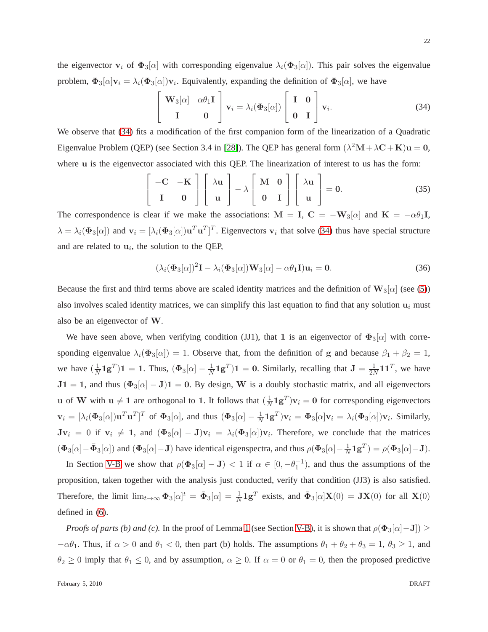the eigenvector  $v_i$  of  $\Phi_3[\alpha]$  with corresponding eigenvalue  $\lambda_i(\Phi_3[\alpha])$ . This pair solves the eigenvalue problem,  $\Phi_3[\alpha] \mathbf{v}_i = \lambda_i(\Phi_3[\alpha]) \mathbf{v}_i$ . Equivalently, expanding the definition of  $\Phi_3[\alpha]$ , we have

> $\sqrt{ }$  $\overline{1}$

<span id="page-21-0"></span>
$$
\mathbf{W}_3[\alpha] \quad \alpha \theta_1 \mathbf{I} \quad \mathbf{I} \quad \mathbf{v}_i = \lambda_i (\Phi_3[\alpha]) \begin{bmatrix} \mathbf{I} & \mathbf{0} \\ \mathbf{0} & \mathbf{I} \end{bmatrix} \mathbf{v}_i.
$$
 (34)

We observe that [\(34\)](#page-21-0) fits a modification of the first companion form of the linearization of a Quadratic Eigenvalue Problem (QEP) (see Section 3.4 in [\[28\]](#page-30-7)). The QEP has general form  $(\lambda^2 M + \lambda C + K)u = 0$ , where u is the eigenvector associated with this QEP. The linearization of interest to us has the form:

$$
\begin{bmatrix} -C & -K \\ I & 0 \end{bmatrix} \begin{bmatrix} \lambda u \\ u \end{bmatrix} - \lambda \begin{bmatrix} M & 0 \\ 0 & I \end{bmatrix} \begin{bmatrix} \lambda u \\ u \end{bmatrix} = 0.
$$
 (35)

The correspondence is clear if we make the associations:  $M = I$ ,  $C = -W_3[\alpha]$  and  $K = -\alpha\theta_1I$ ,  $\lambda = \lambda_i(\Phi_3[\alpha])$  and  $\mathbf{v}_i = [\lambda_i(\Phi_3[\alpha])\mathbf{u}^T\mathbf{u}^T]^T$ . Eigenvectors  $\mathbf{v}_i$  that solve [\(34\)](#page-21-0) thus have special structure and are related to  $\mathbf{u}_i$ , the solution to the QEP,

<span id="page-21-1"></span>
$$
(\lambda_i(\Phi_3[\alpha])^2 \mathbf{I} - \lambda_i(\Phi_3[\alpha]) \mathbf{W}_3[\alpha] - \alpha \theta_1 \mathbf{I}) \mathbf{u}_i = \mathbf{0}.
$$
 (36)

Because the first and third terms above are scaled identity matrices and the definition of  $\mathbf{W}_3[\alpha]$  (see [\(5\)](#page-5-4)) also involves scaled identity matrices, we can simplify this last equation to find that any solution  $\mathbf{u}_i$  must also be an eigenvector of W.

We have seen above, when verifying condition (JJ1), that 1 is an eigenvector of  $\Phi_3[\alpha]$  with corresponding eigenvalue  $\lambda_i(\Phi_3[\alpha]) = 1$ . Observe that, from the definition of g and because  $\beta_1 + \beta_2 = 1$ , we have  $(\frac{1}{\lambda})$  $\frac{1}{N}$ **1g**<sup>T</sup>)**1** = **1**. Thus,  $(\Phi_3[\alpha] - \frac{1}{N})$  $\frac{1}{N}$ **1g**<sup>T</sup>)**1** = **0**. Similarly, recalling that **J** =  $\frac{1}{2N}$  $\frac{1}{2N}$ 11<sup>T</sup>, we have  $J1 = 1$ , and thus  $(\Phi_3[\alpha] - J)1 = 0$ . By design, W is a doubly stochastic matrix, and all eigenvectors **u** of **W** with  $\mathbf{u} \neq 1$  are orthogonal to 1. It follows that  $(\frac{1}{N})$  $\frac{1}{N}$ **1** $g<sup>T</sup>$ )**v**<sub>i</sub> = **0** for corresponding eigenvectors  $\mathbf{v}_i = [\lambda_i(\mathbf{\Phi}_3[\alpha])\mathbf{u}^T\mathbf{u}^T]^T$  of  $\mathbf{\Phi}_3[\alpha]$ , and thus  $(\mathbf{\Phi}_3[\alpha] - \frac{1}{N}\mathbf{1}\mathbf{g}^T)\mathbf{v}_i = \mathbf{\Phi}_3[\alpha]\mathbf{v}_i = \lambda_i(\mathbf{\Phi}_3[\alpha])\mathbf{v}_i$ . Similarly,  $Jv_i = 0$  if  $v_i \neq 1$ , and  $(\Phi_3[\alpha] - J)v_i = \lambda_i(\Phi_3[\alpha])v_i$ . Therefore, we conclude that the matrices  $(\Phi_3[\alpha]-\bar{\Phi}_3[\alpha])$  and  $(\Phi_3[\alpha]-J)$  have identical eigenspectra, and thus  $\rho(\Phi_3[\alpha]-\frac{1}{N})$  $\frac{1}{N}$ **1** $g^T$ ) =  $\rho$ ( $\Phi$ <sub>3</sub>[ $\alpha$ ] -**J**).

In Section [V-B](#page-22-0) we show that  $\rho(\Phi_3[\alpha] - J) < 1$  if  $\alpha \in [0, -\theta_1^{-1})$ , and thus the assumptions of the proposition, taken together with the analysis just conducted, verify that condition (JJ3) is also satisfied. Therefore, the limit  $\lim_{t\to\infty} \Phi_3[\alpha]^t = \bar{\Phi}_3[\alpha] = \frac{1}{N} \mathbf{1g}^T$  exists, and  $\bar{\Phi}_3[\alpha] \mathbf{X}(0) = \mathbf{JX}(0)$  for all  $\mathbf{X}(0)$ defined in [\(6\)](#page-5-3).

*Proofs of parts (b) and (c).* In the proof of Lemma [1](#page-23-0) (see Section [V-B\)](#page-22-0), it is shown that  $\rho(\Phi_3[\alpha]-J]) \geq$  $-\alpha\theta_1$ . Thus, if  $\alpha > 0$  and  $\theta_1 < 0$ , then part (b) holds. The assumptions  $\theta_1 + \theta_2 + \theta_3 = 1$ ,  $\theta_3 \ge 1$ , and  $\theta_2 \ge 0$  imply that  $\theta_1 \le 0$ , and by assumption,  $\alpha \ge 0$ . If  $\alpha = 0$  or  $\theta_1 = 0$ , then the proposed predictive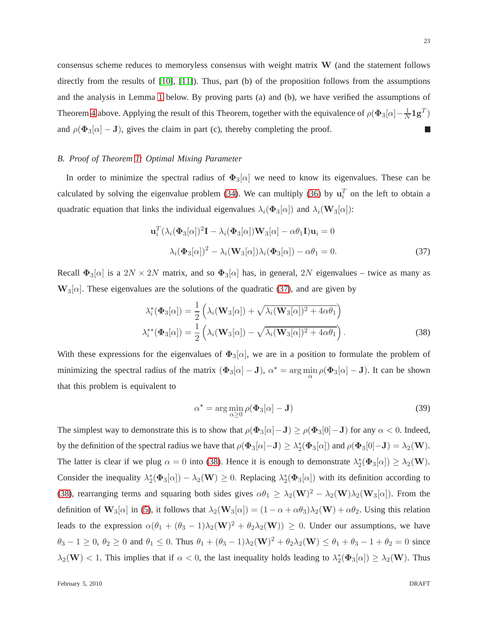consensus scheme reduces to memoryless consensus with weight matrix W (and the statement follows directly from the results of [\[10\]](#page-29-4), [\[11\]](#page-29-5)). Thus, part (b) of the proposition follows from the assumptions and the analysis in Lemma [1](#page-23-0) below. By proving parts (a) and (b), we have verified the assumptions of Theorem [4](#page-18-4) above. Applying the result of this Theorem, together with the equivalence of  $\rho(\Phi_3[\alpha]-\frac{1}{N})$  $\frac{1}{N}{\bm 1} {\bm g}^T)$ and  $\rho(\Phi_3[\alpha] - J)$ , gives the claim in part (c), thereby completing the proof. П

# <span id="page-22-0"></span>*B. Proof of Theorem [1:](#page-7-0) Optimal Mixing Parameter*

In order to minimize the spectral radius of  $\Phi_3[\alpha]$  we need to know its eigenvalues. These can be calculated by solving the eigenvalue problem [\(34\)](#page-21-0). We can multiply [\(36\)](#page-21-1) by  $\mathbf{u}_i^T$  on the left to obtain a quadratic equation that links the individual eigenvalues  $\lambda_i(\Phi_3[\alpha])$  and  $\lambda_i(\mathbf{W}_3[\alpha])$ :

<span id="page-22-1"></span>
$$
\mathbf{u}_i^T (\lambda_i (\mathbf{\Phi}_3[\alpha])^2 \mathbf{I} - \lambda_i (\mathbf{\Phi}_3[\alpha]) \mathbf{W}_3[\alpha] - \alpha \theta_1 \mathbf{I}) \mathbf{u}_i = 0
$$
  

$$
\lambda_i (\mathbf{\Phi}_3[\alpha])^2 - \lambda_i (\mathbf{W}_3[\alpha]) \lambda_i (\mathbf{\Phi}_3[\alpha]) - \alpha \theta_1 = 0.
$$
 (37)

Recall  $\Phi_3[\alpha]$  is a  $2N \times 2N$  matrix, and so  $\Phi_3[\alpha]$  has, in general,  $2N$  eigenvalues – twice as many as  $W_3[\alpha]$ . These eigenvalues are the solutions of the quadratic [\(37\)](#page-22-1), and are given by

$$
\lambda_i^*(\Phi_3[\alpha]) = \frac{1}{2} \left( \lambda_i(\mathbf{W}_3[\alpha]) + \sqrt{\lambda_i(\mathbf{W}_3[\alpha])^2 + 4\alpha\theta_1} \right)
$$
  

$$
\lambda_i^{**}(\Phi_3[\alpha]) = \frac{1}{2} \left( \lambda_i(\mathbf{W}_3[\alpha]) - \sqrt{\lambda_i(\mathbf{W}_3[\alpha])^2 + 4\alpha\theta_1} \right).
$$
 (38)

With these expressions for the eigenvalues of  $\Phi_3[\alpha]$ , we are in a position to formulate the problem of minimizing the spectral radius of the matrix  $(\Phi_3[\alpha] - J)$ ,  $\alpha^* = \arg \min_{\alpha} \rho(\Phi_3[\alpha] - J)$ . It can be shown that this problem is equivalent to

<span id="page-22-3"></span><span id="page-22-2"></span>
$$
\alpha^* = \arg\min_{\alpha \ge 0} \rho(\Phi_3[\alpha] - \mathbf{J})
$$
\n(39)

The simplest way to demonstrate this is to show that  $\rho(\Phi_3[\alpha]-J) \ge \rho(\Phi_3[0]-J)$  for any  $\alpha < 0$ . Indeed, by the definition of the spectral radius we have that  $\rho(\Phi_3[\alpha] - J) \geq \lambda_2^*(\Phi_3[\alpha])$  and  $\rho(\Phi_3[0] - J) = \lambda_2(W)$ . The latter is clear if we plug  $\alpha = 0$  into [\(38\)](#page-22-2). Hence it is enough to demonstrate  $\lambda_2^*(\Phi_3[\alpha]) \geq \lambda_2(\mathbf{W})$ . Consider the inequality  $\lambda_2^*(\Phi_3[\alpha]) - \lambda_2(\mathbf{W}) \geq 0$ . Replacing  $\lambda_2^*(\Phi_3[\alpha])$  with its definition according to [\(38\)](#page-22-2), rearranging terms and squaring both sides gives  $\alpha\theta_1 \geq \lambda_2(\mathbf{W})^2 - \lambda_2(\mathbf{W})\lambda_2(\mathbf{W}_3[\alpha])$ . From the definition of  $\mathbf{W}_3[\alpha]$  in [\(5\)](#page-5-4), it follows that  $\lambda_2(\mathbf{W}_3[\alpha]) = (1 - \alpha + \alpha\theta_3)\lambda_2(\mathbf{W}) + \alpha\theta_2$ . Using this relation leads to the expression  $\alpha(\theta_1 + (\theta_3 - 1)\lambda_2(\mathbf{W})^2 + \theta_2\lambda_2(\mathbf{W})) \ge 0$ . Under our assumptions, we have  $\theta_3 - 1 \ge 0$ ,  $\theta_2 \ge 0$  and  $\theta_1 \le 0$ . Thus  $\theta_1 + (\theta_3 - 1)\lambda_2(\mathbf{W})^2 + \theta_2\lambda_2(\mathbf{W}) \le \theta_1 + \theta_3 - 1 + \theta_2 = 0$  since  $\lambda_2(\mathbf{W}) < 1$ . This implies that if  $\alpha < 0$ , the last inequality holds leading to  $\lambda_2^*(\Phi_3[\alpha]) \geq \lambda_2(\mathbf{W})$ . Thus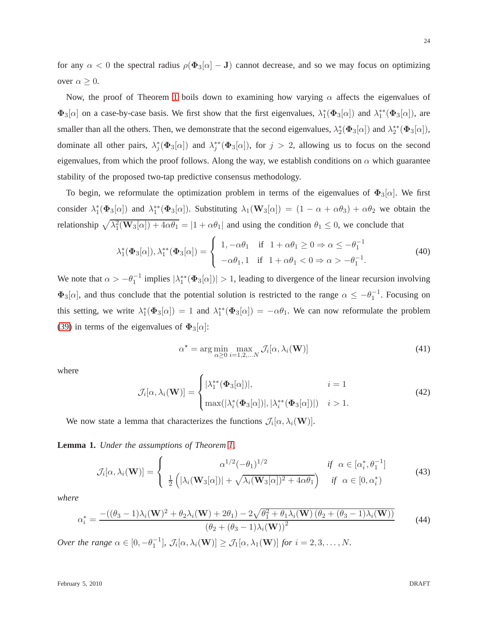for any  $\alpha < 0$  the spectral radius  $\rho(\Phi_3[\alpha] - J)$  cannot decrease, and so we may focus on optimizing over  $\alpha \geq 0$ .

Now, the proof of Theorem [1](#page-7-0) boils down to examining how varying  $\alpha$  affects the eigenvalues of  $\Phi_3[\alpha]$  on a case-by-case basis. We first show that the first eigenvalues,  $\lambda_1^*(\Phi_3[\alpha])$  and  $\lambda_1^{**}(\Phi_3[\alpha])$ , are smaller than all the others. Then, we demonstrate that the second eigenvalues,  $\lambda_2^*(\Phi_3[\alpha])$  and  $\lambda_2^{**}(\Phi_3[\alpha]),$ dominate all other pairs,  $\lambda_j^*(\Phi_3[\alpha])$  and  $\lambda_j^{**}(\Phi_3[\alpha])$ , for  $j > 2$ , allowing us to focus on the second eigenvalues, from which the proof follows. Along the way, we establish conditions on  $\alpha$  which guarantee stability of the proposed two-tap predictive consensus methodology.

To begin, we reformulate the optimization problem in terms of the eigenvalues of  $\Phi_3[\alpha]$ . We first consider  $\lambda_1^*(\Phi_3[\alpha])$  and  $\lambda_1^{**}(\Phi_3[\alpha])$ . Substituting  $\lambda_1(\mathbf{W}_3[\alpha]) = (1 - \alpha + \alpha\theta_3) + \alpha\theta_2$  we obtain the relationship  $\sqrt{\lambda_1^2(\mathbf{W}_3[\alpha]) + 4\alpha\theta_1} = |1 + \alpha\theta_1|$  and using the condition  $\theta_1 \le 0$ , we conclude that

$$
\lambda_1^*(\Phi_3[\alpha]), \lambda_1^{**}(\Phi_3[\alpha]) = \begin{cases} 1, -\alpha\theta_1 & \text{if } 1 + \alpha\theta_1 \ge 0 \Rightarrow \alpha \le -\theta_1^{-1} \\ -\alpha\theta_1, 1 & \text{if } 1 + \alpha\theta_1 < 0 \Rightarrow \alpha > -\theta_1^{-1} . \end{cases}
$$
(40)

We note that  $\alpha > -\theta_1^{-1}$  implies  $|\lambda_1^{**}(\Phi_3[\alpha])| > 1$ , leading to divergence of the linear recursion involving  $\Phi_3[\alpha]$ , and thus conclude that the potential solution is restricted to the range  $\alpha \le -\theta_1^{-1}$ . Focusing on this setting, we write  $\lambda_1^*(\Phi_3[\alpha]) = 1$  and  $\lambda_1^{**}(\Phi_3[\alpha]) = -\alpha \theta_1$ . We can now reformulate the problem [\(39\)](#page-22-3) in terms of the eigenvalues of  $\Phi_3[\alpha]$ :

<span id="page-23-3"></span><span id="page-23-2"></span>
$$
\alpha^* = \arg\min_{\alpha \ge 0} \max_{i=1,2,...N} \mathcal{J}_i[\alpha, \lambda_i(\mathbf{W})]
$$
(41)

where

$$
\mathcal{J}_i[\alpha, \lambda_i(\mathbf{W})] = \begin{cases} |\lambda_1^{**}(\mathbf{\Phi}_3[\alpha])|, & i = 1\\ \max(|\lambda_i^*(\mathbf{\Phi}_3[\alpha])|, |\lambda_i^{**}(\mathbf{\Phi}_3[\alpha])|) & i > 1. \end{cases}
$$
(42)

We now state a lemma that characterizes the functions  $\mathcal{J}_i[\alpha, \lambda_i(\mathbf{W})]$ .

<span id="page-23-0"></span>**Lemma 1.** *Under the assumptions of Theorem [1,](#page-7-0)*

$$
\mathcal{J}_i[\alpha, \lambda_i(\mathbf{W})] = \begin{cases} \alpha^{1/2}(-\theta_1)^{1/2} & \text{if } \alpha \in [\alpha_i^*, \theta_1^{-1}] \\ \frac{1}{2} \left( |\lambda_i(\mathbf{W}_3[\alpha])| + \sqrt{\lambda_i(\mathbf{W}_3[\alpha])^2 + 4\alpha \theta_1} \right) & \text{if } \alpha \in [0, \alpha_i^*) \end{cases}
$$
(43)

*where*

<span id="page-23-1"></span>
$$
\alpha_i^* = \frac{-((\theta_3 - 1)\lambda_i(\mathbf{W})^2 + \theta_2\lambda_i(\mathbf{W}) + 2\theta_1) - 2\sqrt{\theta_1^2 + \theta_1\lambda_i(\mathbf{W})\left(\theta_2 + (\theta_3 - 1)\lambda_i(\mathbf{W})\right)}}{(\theta_2 + (\theta_3 - 1)\lambda_i(\mathbf{W}))^2}
$$
(44)

*Over the range*  $\alpha \in [0, -\theta_1^{-1}], \mathcal{J}_i[\alpha, \lambda_i(\mathbf{W})] \geq \mathcal{J}_1[\alpha, \lambda_1(\mathbf{W})]$  *for*  $i = 2, 3, ..., N$ .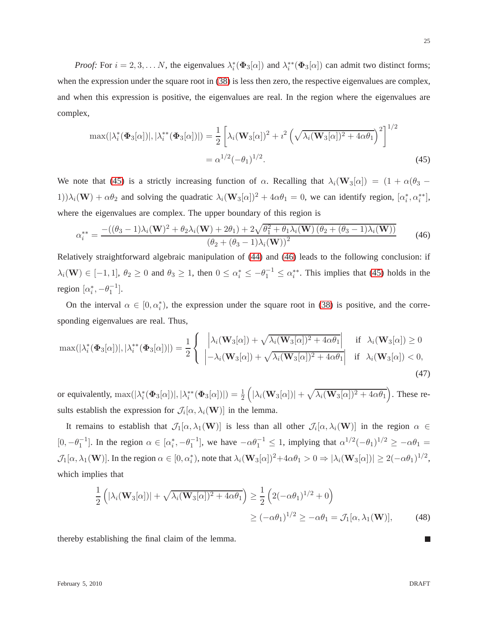*Proof:* For  $i = 2, 3, \dots N$ , the eigenvalues  $\lambda_i^*(\Phi_3[\alpha])$  and  $\lambda_i^{**}(\Phi_3[\alpha])$  can admit two distinct forms; when the expression under the square root in  $(38)$  is less then zero, the respective eigenvalues are complex, and when this expression is positive, the eigenvalues are real. In the region where the eigenvalues are complex,

$$
\max(|\lambda_i^*(\Phi_3[\alpha])|, |\lambda_i^{**}(\Phi_3[\alpha])|) = \frac{1}{2} \left[ \lambda_i (\mathbf{W}_3[\alpha])^2 + i^2 \left( \sqrt{\lambda_i (\mathbf{W}_3[\alpha])^2 + 4\alpha \theta_1} \right)^2 \right]^{1/2}
$$
  
=  $\alpha^{1/2} (-\theta_1)^{1/2}.$  (45)

We note that [\(45\)](#page-24-0) is a strictly increasing function of  $\alpha$ . Recalling that  $\lambda_i(\mathbf{W}_3[\alpha]) = (1 + \alpha(\theta_3 - \alpha_4))^T$ 1)) $\lambda_i(\mathbf{W}) + \alpha \theta_2$  and solving the quadratic  $\lambda_i(\mathbf{W}_3[\alpha])^2 + 4\alpha \theta_1 = 0$ , we can identify region,  $[\alpha_i^*, \alpha_i^{**}]$ , where the eigenvalues are complex. The upper boundary of this region is

<span id="page-24-1"></span>
$$
\alpha_i^{**} = \frac{-((\theta_3 - 1)\lambda_i(\mathbf{W})^2 + \theta_2\lambda_i(\mathbf{W}) + 2\theta_1) + 2\sqrt{\theta_1^2 + \theta_1\lambda_i(\mathbf{W})\left(\theta_2 + (\theta_3 - 1)\lambda_i(\mathbf{W})\right)}}{(\theta_2 + (\theta_3 - 1)\lambda_i(\mathbf{W}))^2}
$$
(46)

Relatively straightforward algebraic manipulation of [\(44\)](#page-23-1) and [\(46\)](#page-24-1) leads to the following conclusion: if  $\lambda_i(\mathbf{W}) \in [-1, 1], \ \theta_2 \ge 0$  and  $\theta_3 \ge 1$ , then  $0 \le \alpha_i^* \le -\theta_1^{-1} \le \alpha_i^{**}$ . This implies that [\(45\)](#page-24-0) holds in the region  $[\alpha_i^*, -\theta_1^{-1}].$ 

On the interval  $\alpha \in [0, \alpha_i^*),$  the expression under the square root in [\(38\)](#page-22-2) is positive, and the corresponding eigenvalues are real. Thus,

$$
\max(|\lambda_i^*(\Phi_3[\alpha])|, |\lambda_i^{**}(\Phi_3[\alpha])|) = \frac{1}{2} \left\{ \begin{array}{ll} \left| \lambda_i(\mathbf{W}_3[\alpha]) + \sqrt{\lambda_i(\mathbf{W}_3[\alpha])^2 + 4\alpha \theta_1} \right| & \text{if } \lambda_i(\mathbf{W}_3[\alpha]) \ge 0\\ \left| -\lambda_i(\mathbf{W}_3[\alpha]) + \sqrt{\lambda_i(\mathbf{W}_3[\alpha])^2 + 4\alpha \theta_1} \right| & \text{if } \lambda_i(\mathbf{W}_3[\alpha]) < 0, \end{array} \right. \tag{47}
$$

or equivalently,  $\max(|\lambda_i^*(\Phi_3[\alpha])|, |\lambda_i^{**}(\Phi_3[\alpha])|) = \frac{1}{2}$  $(\vert\lambda_i(\mathbf W_3[\alpha])\vert+\sqrt{\lambda_i(\mathbf W_3[\alpha])^2+4\alpha\theta_1})$ . These results establish the expression for  $\mathcal{J}_i[\alpha, \lambda_i(\mathbf{W})]$  in the lemma.

It remains to establish that  $\mathcal{J}_1[\alpha,\lambda_1(\mathbf{W})]$  is less than all other  $\mathcal{J}_i[\alpha,\lambda_i(\mathbf{W})]$  in the region  $\alpha \in$  $[0, -\theta_1^{-1}]$ . In the region  $\alpha \in [\alpha_i^*, -\theta_1^{-1}]$ , we have  $-\alpha \theta_1^{-1} \le 1$ , implying that  $\alpha^{1/2}(-\theta_1)^{1/2} \ge -\alpha \theta_1 =$  $\mathcal{J}_1[\alpha,\lambda_1(\mathbf{W})]$ . In the region  $\alpha \in [0,\alpha_i^*)$ , note that  $\lambda_i(\mathbf{W}_3[\alpha])^2 + 4\alpha\theta_1 > 0 \Rightarrow |\lambda_i(\mathbf{W}_3[\alpha])| \ge 2(-\alpha\theta_1)^{1/2}$ , which implies that

<span id="page-24-2"></span>
$$
\frac{1}{2}\left(|\lambda_i(\mathbf{W}_3[\alpha])| + \sqrt{\lambda_i(\mathbf{W}_3[\alpha])^2 + 4\alpha\theta_1}\right) \ge \frac{1}{2}\left(2(-\alpha\theta_1)^{1/2} + 0\right)
$$
  

$$
\ge (-\alpha\theta_1)^{1/2} \ge -\alpha\theta_1 = \mathcal{J}_1[\alpha, \lambda_1(\mathbf{W})], \tag{48}
$$

thereby establishing the final claim of the lemma.

<span id="page-24-0"></span>25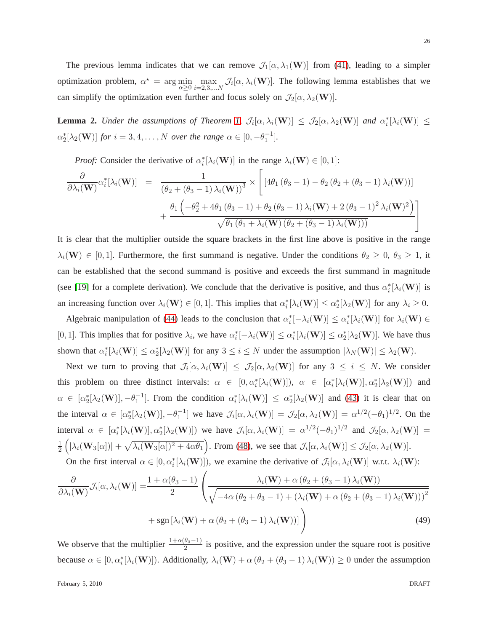The previous lemma indicates that we can remove  $\mathcal{J}_1[\alpha, \lambda_1(\mathbf{W})]$  from [\(41\)](#page-23-2), leading to a simpler optimization problem,  $\alpha^* = \arg \min_{\alpha}$  $\alpha \geq 0$  $\max_{i=2,3,...N} \mathcal{J}_i[\alpha, \lambda_i(\mathbf{W})].$  The following lemma establishes that we can simplify the optimization even further and focus solely on  $\mathcal{J}_2(\alpha, \lambda_2(\mathbf{W}))$ .

<span id="page-25-0"></span>**Lemma 2.** *Under the assumptions of Theorem [1,](#page-7-0)*  $\mathcal{J}_i[\alpha, \lambda_i(\mathbf{W})] \leq \mathcal{J}_2[\alpha, \lambda_2(\mathbf{W})]$  and  $\alpha_i^*[\lambda_i(\mathbf{W})] \leq$  $\alpha_2^*[\lambda_2(\mathbf{W})]$  *for*  $i = 3, 4, \dots, N$  *over the range*  $\alpha \in [0, -\theta_1^{-1}]$ *.* 

*Proof:* Consider the derivative of  $\alpha_i^*[\lambda_i(\mathbf{W})]$  in the range  $\lambda_i(\mathbf{W}) \in [0,1]$ :

$$
\frac{\partial}{\partial \lambda_i(\mathbf{W})} \alpha_i^* [\lambda_i(\mathbf{W})] = \frac{1}{(\theta_2 + (\theta_3 - 1) \lambda_i(\mathbf{W}))^3} \times \left[ \left[ 4\theta_1 (\theta_3 - 1) - \theta_2 (\theta_2 + (\theta_3 - 1) \lambda_i(\mathbf{W})) \right] + \frac{\theta_1 \left( -\theta_2^2 + 4\theta_1 (\theta_3 - 1) + \theta_2 (\theta_3 - 1) \lambda_i(\mathbf{W}) + 2 (\theta_3 - 1)^2 \lambda_i(\mathbf{W})^2 \right)}{\sqrt{\theta_1 (\theta_1 + \lambda_i(\mathbf{W}) (\theta_2 + (\theta_3 - 1) \lambda_i(\mathbf{W})))}} \right]
$$

It is clear that the multiplier outside the square brackets in the first line above is positive in the range  $\lambda_i(\mathbf{W}) \in [0, 1]$ . Furthermore, the first summand is negative. Under the conditions  $\theta_2 \geq 0$ ,  $\theta_3 \geq 1$ , it can be established that the second summand is positive and exceeds the first summand in magnitude (see [\[19\]](#page-29-15) for a complete derivation). We conclude that the derivative is positive, and thus  $\alpha_i^*[\lambda_i(\mathbf{W})]$  is an increasing function over  $\lambda_i(\mathbf{W}) \in [0,1]$ . This implies that  $\alpha_i^*[\lambda_i(\mathbf{W})] \leq \alpha_2^*[\lambda_2(\mathbf{W})]$  for any  $\lambda_i \geq 0$ .

Algebraic manipulation of [\(44\)](#page-23-1) leads to the conclusion that  $\alpha_i^*[-\lambda_i(\mathbf{W})] \leq \alpha_i^*[\lambda_i(\mathbf{W})]$  for  $\lambda_i(\mathbf{W}) \in$ [0, 1]. This implies that for positive  $\lambda_i$ , we have  $\alpha_i^*[-\lambda_i(\mathbf{W})] \leq \alpha_i^*[\lambda_i(\mathbf{W})] \leq \alpha_2^*[\lambda_2(\mathbf{W})]$ . We have thus shown that  $\alpha_i^*[\lambda_i(\mathbf{W})] \leq \alpha_2^*[\lambda_2(\mathbf{W})]$  for any  $3 \leq i \leq N$  under the assumption  $|\lambda_N(\mathbf{W})| \leq \lambda_2(\mathbf{W})$ .

Next we turn to proving that  $\mathcal{J}_i[\alpha, \lambda_i(\mathbf{W})] \leq \mathcal{J}_2[\alpha, \lambda_2(\mathbf{W})]$  for any  $3 \leq i \leq N$ . We consider this problem on three distinct intervals:  $\alpha \in [0, \alpha_i^*[\lambda_i(\mathbf{W})])$ ,  $\alpha \in [\alpha_i^*[\lambda_i(\mathbf{W})], \alpha_2^*[\lambda_2(\mathbf{W})])$  and  $\alpha \in [\alpha_2^*[\lambda_2(\mathbf{W})], -\theta_1^{-1}]$ . From the condition  $\alpha_i^*[\lambda_i(\mathbf{W})] \leq \alpha_2^*[\lambda_2(\mathbf{W})]$  and [\(43\)](#page-23-3) it is clear that on the interval  $\alpha \in [\alpha_2^*[\lambda_2(\mathbf{W})], -\theta_1^{-1}]$  we have  $\mathcal{J}_i[\alpha, \lambda_i(\mathbf{W})] = \mathcal{J}_2[\alpha, \lambda_2(\mathbf{W})] = \alpha^{1/2}(-\theta_1)^{1/2}$ . On the interval  $\alpha \in [\alpha_i^*[\lambda_i(\mathbf{W})], \alpha_2^*[\lambda_2(\mathbf{W})])$  we have  $\mathcal{J}_i[\alpha, \lambda_i(\mathbf{W})] = \alpha^{1/2}(-\theta_1)^{1/2}$  and  $\mathcal{J}_2[\alpha, \lambda_2(\mathbf{W})] =$ 1 2  $\left(|\lambda_i(\mathbf{W}_3[\alpha])| + \sqrt{\lambda_i(\mathbf{W}_3[\alpha])^2 + 4\alpha\theta_1}\right)$ . From [\(48\)](#page-24-2), we see that  $\mathcal{J}_i[\alpha, \lambda_i(\mathbf{W})] \leq \mathcal{J}_2[\alpha, \lambda_2(\mathbf{W})]$ .

On the first interval  $\alpha \in [0, \alpha_i^*[\lambda_i(\mathbf{W})])$ , we examine the derivative of  $\mathcal{J}_i[\alpha, \lambda_i(\mathbf{W})]$  w.r.t.  $\lambda_i(\mathbf{W})$ :

$$
\frac{\partial}{\partial \lambda_i(\mathbf{W})} \mathcal{J}_i[\alpha, \lambda_i(\mathbf{W})] = \frac{1 + \alpha(\theta_3 - 1)}{2} \left( \frac{\lambda_i(\mathbf{W}) + \alpha(\theta_2 + (\theta_3 - 1) \lambda_i(\mathbf{W}))}{\sqrt{-4\alpha(\theta_2 + \theta_3 - 1) + (\lambda_i(\mathbf{W}) + \alpha(\theta_2 + (\theta_3 - 1) \lambda_i(\mathbf{W})))^2}} + \text{sgn} \left[ \lambda_i(\mathbf{W}) + \alpha(\theta_2 + (\theta_3 - 1) \lambda_i(\mathbf{W})) \right] \right)
$$
(49)

We observe that the multiplier  $\frac{1+\alpha(\theta_3-1)}{2}$  is positive, and the expression under the square root is positive because  $\alpha \in [0, \alpha_i^*[\lambda_i(\mathbf{W})])$ . Additionally,  $\lambda_i(\mathbf{W}) + \alpha (\theta_2 + (\theta_3 - 1) \lambda_i(\mathbf{W})) \ge 0$  under the assumption

February 5, 2010 DRAFT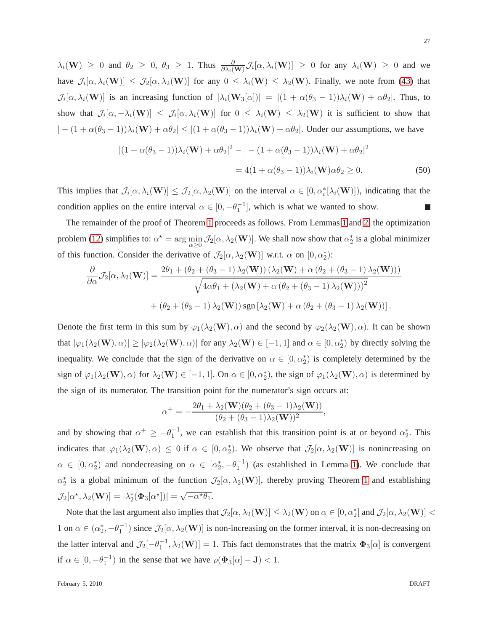$\lambda_i(\mathbf{W}) \ge 0$  and  $\theta_2 \ge 0$ ,  $\theta_3 \ge 1$ . Thus  $\frac{\partial}{\partial \lambda_i(\mathbf{W})} \mathcal{J}_i[\alpha, \lambda_i(\mathbf{W})] \ge 0$  for any  $\lambda_i(\mathbf{W}) \ge 0$  and we have  $\mathcal{J}_i[\alpha, \lambda_i(\mathbf{W})] \leq \mathcal{J}_2[\alpha, \lambda_2(\mathbf{W})]$  for any  $0 \leq \lambda_i(\mathbf{W}) \leq \lambda_2(\mathbf{W})$ . Finally, we note from [\(43\)](#page-23-3) that  $\mathcal{J}_i[\alpha, \lambda_i(\mathbf{W})]$  is an increasing function of  $|\lambda_i(\mathbf{W}_3[\alpha])| = |(1 + \alpha(\theta_3 - 1))\lambda_i(\mathbf{W}) + \alpha\theta_2|$ . Thus, to show that  $\mathcal{J}_i[\alpha,-\lambda_i(\mathbf{W})] \leq \mathcal{J}_i[\alpha,\lambda_i(\mathbf{W})]$  for  $0 \leq \lambda_i(\mathbf{W}) \leq \lambda_2(\mathbf{W})$  it is sufficient to show that  $| -(1 + \alpha(\theta_3 - 1))\lambda_i(\mathbf{W}) + \alpha \theta_2 | \le |(1 + \alpha(\theta_3 - 1))\lambda_i(\mathbf{W}) + \alpha \theta_2|$ . Under our assumptions, we have

$$
|(1 + \alpha(\theta_3 - 1))\lambda_i(\mathbf{W}) + \alpha\theta_2|^2 - | - (1 + \alpha(\theta_3 - 1))\lambda_i(\mathbf{W}) + \alpha\theta_2|^2
$$
  
= 4(1 + \alpha(\theta\_3 - 1))\lambda\_i(\mathbf{W})\alpha\theta\_2 \ge 0. (50)

This implies that  $\mathcal{J}_i[\alpha,\lambda_i(\mathbf{W})] \leq \mathcal{J}_2[\alpha,\lambda_2(\mathbf{W})]$  on the interval  $\alpha \in [0,\alpha_i^*[\lambda_i(\mathbf{W})])$ , indicating that the condition applies on the entire interval  $\alpha \in [0, -\theta_1^{-1}]$ , which is what we wanted to show. T.

The remainder of the proof of Theorem [1](#page-7-0) proceeds as follows. From Lemmas [1](#page-23-0) and [2,](#page-25-0) the optimization problem [\(12\)](#page-7-1) simplifies to:  $\alpha^* = \arg \min_{\alpha}$  $\min_{\alpha \geq 0} \mathcal{J}_2[\alpha, \lambda_2(\mathbf{W})].$  We shall now show that  $\alpha_2^*$  is a global minimizer of this function. Consider the derivative of  $\mathcal{J}_2[\alpha, \lambda_2(\mathbf{W})]$  w.r.t.  $\alpha$  on  $[0, \alpha_2^*)$ :

$$
\frac{\partial}{\partial \alpha} \mathcal{J}_2[\alpha, \lambda_2(\mathbf{W})] = \frac{2\theta_1 + (\theta_2 + (\theta_3 - 1) \lambda_2(\mathbf{W})) (\lambda_2(\mathbf{W}) + \alpha (\theta_2 + (\theta_3 - 1) \lambda_2(\mathbf{W})))}{\sqrt{4\alpha \theta_1 + (\lambda_2(\mathbf{W}) + \alpha (\theta_2 + (\theta_3 - 1) \lambda_2(\mathbf{W})))^2}}
$$
  
+  $(\theta_2 + (\theta_3 - 1) \lambda_2(\mathbf{W})) \text{sgn} [\lambda_2(\mathbf{W}) + \alpha (\theta_2 + (\theta_3 - 1) \lambda_2(\mathbf{W}))].$ 

Denote the first term in this sum by  $\varphi_1(\lambda_2(\mathbf{W}), \alpha)$  and the second by  $\varphi_2(\lambda_2(\mathbf{W}), \alpha)$ . It can be shown that  $|\varphi_1(\lambda_2(\mathbf{W}), \alpha)| \ge |\varphi_2(\lambda_2(\mathbf{W}), \alpha)|$  for any  $\lambda_2(\mathbf{W}) \in [-1, 1]$  and  $\alpha \in [0, \alpha_2^*)$  by directly solving the inequality. We conclude that the sign of the derivative on  $\alpha \in [0, \alpha_2^*)$  is completely determined by the sign of  $\varphi_1(\lambda_2(\mathbf{W}), \alpha)$  for  $\lambda_2(\mathbf{W}) \in [-1, 1]$ . On  $\alpha \in [0, \alpha_2^*)$ , the sign of  $\varphi_1(\lambda_2(\mathbf{W}), \alpha)$  is determined by the sign of its numerator. The transition point for the numerator's sign occurs at:

$$
\alpha^{+} = -\frac{2\theta_1 + \lambda_2(\mathbf{W})(\theta_2 + (\theta_3 - 1)\lambda_2(\mathbf{W}))}{(\theta_2 + (\theta_3 - 1)\lambda_2(\mathbf{W}))^2},
$$

and by showing that  $\alpha^+ \ge -\theta_1^{-1}$ , we can establish that this transition point is at or beyond  $\alpha_2^*$ . This indicates that  $\varphi_1(\lambda_2(\mathbf{W}), \alpha) \leq 0$  if  $\alpha \in [0, \alpha_2^*)$ . We observe that  $\mathcal{J}_2[\alpha, \lambda_2(\mathbf{W})]$  is nonincreasing on  $\alpha \in [0, \alpha_2^*)$  and nondecreasing on  $\alpha \in [\alpha_2^*, -\theta_1^{-1})$  (as established in Lemma [1\)](#page-23-0). We conclude that  $\alpha_2^*$  is a global minimum of the function  $\mathcal{J}_2[\alpha,\lambda_2(\mathbf{W})]$ , thereby proving Theorem [1](#page-7-0) and establishing  $\mathcal{J}_2[\alpha^*, \lambda_2(\mathbf{W})] = |\lambda_2^*(\Phi_3[\alpha^*])| = \sqrt{-\alpha^* \theta_1}.$ 

Note that the last argument also implies that  $\mathcal{J}_2[\alpha,\lambda_2(\mathbf{W})] \leq \lambda_2(\mathbf{W})$  on  $\alpha \in [0,\alpha_2^*]$  and  $\mathcal{J}_2[\alpha,\lambda_2(\mathbf{W})] <$ 1 on  $\alpha \in (\alpha_2^*, -\theta_1^{-1})$  since  $\mathcal{J}_2[\alpha, \lambda_2(\mathbf{W})]$  is non-increasing on the former interval, it is non-decreasing on the latter interval and  $\mathcal{J}_2[-\theta_1^{-1}, \lambda_2(\mathbf{W})] = 1$ . This fact demonstrates that the matrix  $\Phi_3[\alpha]$  is convergent if  $\alpha \in [0, -\theta_1^{-1})$  in the sense that we have  $\rho(\Phi_3[\alpha] - J) < 1$ .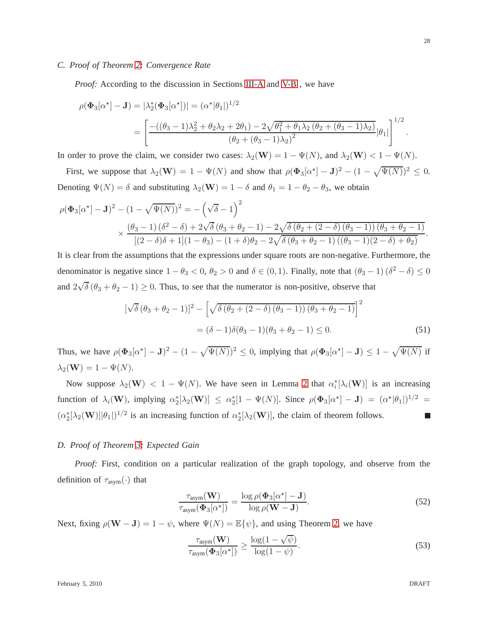## <span id="page-27-0"></span>*C. Proof of Theorem [2:](#page-8-1) Convergence Rate*

*Proof:* According to the discussion in Sections [III-A](#page-6-0) and [V-B](#page-22-0), we have

$$
\rho(\Phi_3[\alpha^*]-\mathbf{J}) = |\lambda_2^*(\Phi_3[\alpha^*])| = (\alpha^*|\theta_1|)^{1/2}
$$
  
= 
$$
\left[ \frac{-((\theta_3 - 1)\lambda_2^2 + \theta_2\lambda_2 + 2\theta_1) - 2\sqrt{\theta_1^2 + \theta_1\lambda_2(\theta_2 + (\theta_3 - 1)\lambda_2)}}{(\theta_2 + (\theta_3 - 1)\lambda_2)^2} |\theta_1| \right]^{1/2}.
$$

In order to prove the claim, we consider two cases:  $\lambda_2(\mathbf{W}) = 1 - \Psi(N)$ , and  $\lambda_2(\mathbf{W}) < 1 - \Psi(N)$ .

First, we suppose that  $\lambda_2(\mathbf{W}) = 1 - \Psi(N)$  and show that  $\rho(\Phi_3[\alpha^*]-\mathbf{J})^2 - (1 - \sqrt{\Psi(N)})^2 \leq 0$ . Denoting  $\Psi(N) = \delta$  and substituting  $\lambda_2(\mathbf{W}) = 1 - \delta$  and  $\theta_1 = 1 - \theta_2 - \theta_3$ , we obtain

$$
\rho(\Phi_3[\alpha^*]-\mathbf{J})^2 - (1-\sqrt{\Psi(N)})^2 = -(\sqrt{\delta}-1)^2
$$
  
\$\times \frac{(\theta\_3-1)(\delta^2-\delta)+2\sqrt{\delta}(\theta\_3+\theta\_2-1)-2\sqrt{\delta(\theta\_2+(2-\delta)(\theta\_3-1))(\theta\_3+\theta\_2-1)}}{[(2-\delta)\delta+1](1-\theta\_3)-(1+\delta)\theta\_2-2\sqrt{\delta(\theta\_3+\theta\_2-1)((\theta\_3-1)(2-\delta)+\theta\_2)}}.\$

It is clear from the assumptions that the expressions under square roots are non-negative. Furthermore, the denominator is negative since  $1 - \theta_3 < 0$ ,  $\theta_2 > 0$  and  $\delta \in (0, 1)$ . Finally, note that  $(\theta_3 - 1)(\delta^2 - \delta) \le 0$ and  $2\sqrt{\delta}(\theta_3 + \theta_2 - 1) \ge 0$ . Thus, to see that the numerator is non-positive, observe that

$$
[\sqrt{\delta} (\theta_3 + \theta_2 - 1)]^2 - [\sqrt{\delta (\theta_2 + (2 - \delta) (\theta_3 - 1)) (\theta_3 + \theta_2 - 1)}]^2
$$
  
=  $(\delta - 1)\delta(\theta_3 - 1)(\theta_3 + \theta_2 - 1) \le 0.$  (51)

Thus, we have  $\rho(\Phi_3[\alpha^*]-J)^2 - (1-\sqrt{\Psi(N)})^2 \le 0$ , implying that  $\rho(\Phi_3[\alpha^*]-J) \le 1-\sqrt{\Psi(N)}$  if  $\lambda_2(\mathbf{W}) = 1 - \Psi(N).$ 

Now suppose  $\lambda_2(\mathbf{W}) < 1 - \Psi(N)$ . We have seen in Lemma [2](#page-25-0) that  $\alpha_i^*[\lambda_i(\mathbf{W})]$  is an increasing function of  $\lambda_i(\mathbf{W})$ , implying  $\alpha_2^*[\lambda_2(\mathbf{W})] \leq \alpha_2^*[1 - \Psi(N)]$ . Since  $\rho(\mathbf{\Phi}_3[\alpha^*] - \mathbf{J}) = (\alpha^*|\theta_1|)^{1/2} =$  $(\alpha_2^*[\lambda_2(\mathbf{W})]|\theta_1|)^{1/2}$  is an increasing function of  $\alpha_2^*[\lambda_2(\mathbf{W})]$ , the claim of theorem follows.  $\overline{\phantom{a}}$ 

#### *D. Proof of Theorem [3:](#page-9-1) Expected Gain*

*Proof:* First, condition on a particular realization of the graph topology, and observe from the definition of  $\tau_{\text{asym}}(\cdot)$  that

$$
\frac{\tau_{\text{asym}}(\mathbf{W})}{\tau_{\text{asym}}(\Phi_3[\alpha^*])} = \frac{\log \rho(\Phi_3[\alpha^*]-\mathbf{J})}{\log \rho(\mathbf{W}-\mathbf{J})}.
$$
\n(52)

Next, fixing  $\rho(\mathbf{W} - \mathbf{J}) = 1 - \psi$ , where  $\Psi(N) = \mathbb{E}\{\psi\}$ , and using Theorem [2,](#page-8-1) we have

$$
\frac{\tau_{\text{asym}}(\mathbf{W})}{\tau_{\text{asym}}(\Phi_3[\alpha^*])} \ge \frac{\log(1-\sqrt{\psi})}{\log(1-\psi)}.
$$
\n(53)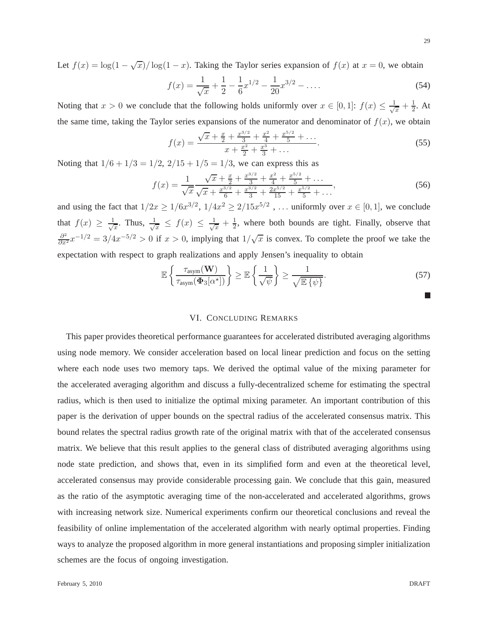Let  $f(x) = \log(1 - \sqrt{x})/\log(1 - x)$ . Taking the Taylor series expansion of  $f(x)$  at  $x = 0$ , we obtain

$$
f(x) = \frac{1}{\sqrt{x}} + \frac{1}{2} - \frac{1}{6}x^{1/2} - \frac{1}{20}x^{3/2} - \dots
$$
 (54)

Noting that  $x > 0$  we conclude that the following holds uniformly over  $x \in [0,1]$ :  $f(x) \leq \frac{1}{\sqrt{x}}$  $\frac{1}{x} + \frac{1}{2}$  $\frac{1}{2}$ . At the same time, taking the Taylor series expansions of the numerator and denominator of  $f(x)$ , we obtain

$$
f(x) = \frac{\sqrt{x} + \frac{x}{2} + \frac{x^{3/2}}{3} + \frac{x^2}{4} + \frac{x^{5/2}}{5} + \dots}{x + \frac{x^2}{2} + \frac{x^3}{3} + \dots}.
$$
 (55)

Noting that  $1/6 + 1/3 = 1/2$ ,  $2/15 + 1/5 = 1/3$ , we can express this as

$$
f(x) = \frac{1}{\sqrt{x}} \frac{\sqrt{x} + \frac{x}{2} + \frac{x^{3/2}}{3} + \frac{x^2}{4} + \frac{x^{5/2}}{5} + \dots}{\sqrt{x} + \frac{x^{3/2}}{6} + \frac{x^{3/2}}{3} + \frac{2x^{5/2}}{15} + \frac{x^{5/2}}{5} + \dots},
$$
(56)

and using the fact that  $1/2x \ge 1/6x^{3/2}$ ,  $1/4x^2 \ge 2/15x^{5/2}$ , ... uniformly over  $x \in [0,1]$ , we conclude that  $f(x) \geq \frac{1}{\sqrt{x}}$  $\frac{1}{x}$ . Thus,  $\frac{1}{\sqrt{x}}$  $\frac{1}{x} \leq f(x) \leq \frac{1}{\sqrt{x}}$  $\frac{1}{x} + \frac{1}{2}$  $\frac{1}{2}$ , where both bounds are tight. Finally, observe that  $\frac{\partial^2}{\partial x^2}x^{-1/2} = 3/4x^{-5/2} > 0$  if  $x > 0$ , implying that  $1/\sqrt{x}$  is convex. To complete the proof we take the expectation with respect to graph realizations and apply Jensen's inequality to obtain

$$
\mathbb{E}\left\{\frac{\tau_{\text{asym}}(\mathbf{W})}{\tau_{\text{asym}}(\Phi_3[\alpha^{\star}])}\right\} \geq \mathbb{E}\left\{\frac{1}{\sqrt{\psi}}\right\} \geq \frac{1}{\sqrt{\mathbb{E}\left\{\psi\right\}}}.\tag{57}
$$

#### VI. CONCLUDING REMARKS

<span id="page-28-0"></span>This paper provides theoretical performance guarantees for accelerated distributed averaging algorithms using node memory. We consider acceleration based on local linear prediction and focus on the setting where each node uses two memory taps. We derived the optimal value of the mixing parameter for the accelerated averaging algorithm and discuss a fully-decentralized scheme for estimating the spectral radius, which is then used to initialize the optimal mixing parameter. An important contribution of this paper is the derivation of upper bounds on the spectral radius of the accelerated consensus matrix. This bound relates the spectral radius growth rate of the original matrix with that of the accelerated consensus matrix. We believe that this result applies to the general class of distributed averaging algorithms using node state prediction, and shows that, even in its simplified form and even at the theoretical level, accelerated consensus may provide considerable processing gain. We conclude that this gain, measured as the ratio of the asymptotic averaging time of the non-accelerated and accelerated algorithms, grows with increasing network size. Numerical experiments confirm our theoretical conclusions and reveal the feasibility of online implementation of the accelerated algorithm with nearly optimal properties. Finding ways to analyze the proposed algorithm in more general instantiations and proposing simpler initialization schemes are the focus of ongoing investigation.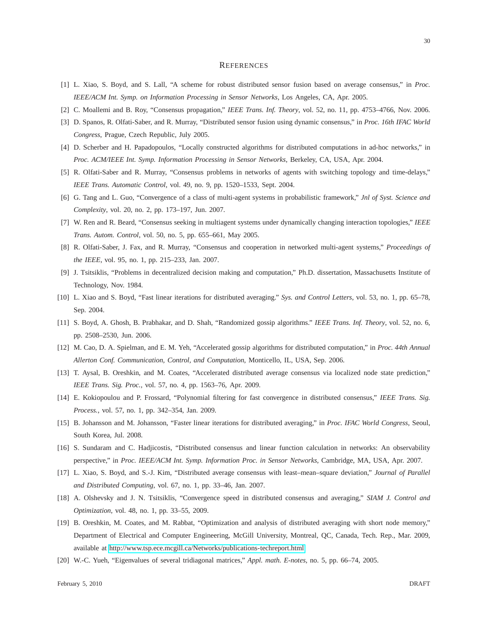#### **REFERENCES**

- <span id="page-29-0"></span>[1] L. Xiao, S. Boyd, and S. Lall, "A scheme for robust distributed sensor fusion based on average consensus," in *Proc. IEEE/ACM Int. Symp. on Information Processing in Sensor Networks*, Los Angeles, CA, Apr. 2005.
- [2] C. Moallemi and B. Roy, "Consensus propagation," *IEEE Trans. Inf. Theory*, vol. 52, no. 11, pp. 4753–4766, Nov. 2006.
- <span id="page-29-6"></span>[3] D. Spanos, R. Olfati-Saber, and R. Murray, "Distributed sensor fusion using dynamic consensus," in *Proc. 16th IFAC World Congress*, Prague, Czech Republic, July 2005.
- <span id="page-29-9"></span>[4] D. Scherber and H. Papadopoulos, "Locally constructed algorithms for distributed computations in ad-hoc networks," in *Proc. ACM/IEEE Int. Symp. Information Processing in Sensor Networks*, Berkeley, CA, USA, Apr. 2004.
- [5] R. Olfati-Saber and R. Murray, "Consensus problems in networks of agents with switching topology and time-delays," *IEEE Trans. Automatic Control*, vol. 49, no. 9, pp. 1520–1533, Sept. 2004.
- <span id="page-29-1"></span>[6] G. Tang and L. Guo, "Convergence of a class of multi-agent systems in probabilistic framework," *Jnl of Syst. Science and Complexity*, vol. 20, no. 2, pp. 173–197, Jun. 2007.
- <span id="page-29-2"></span>[7] W. Ren and R. Beard, "Consensus seeking in multiagent systems under dynamically changing interaction topologies," *IEEE Trans. Autom. Control*, vol. 50, no. 5, pp. 655–661, May 2005.
- <span id="page-29-3"></span>[8] R. Olfati-Saber, J. Fax, and R. Murray, "Consensus and cooperation in networked multi-agent systems," *Proceedings of the IEEE*, vol. 95, no. 1, pp. 215–233, Jan. 2007.
- <span id="page-29-4"></span>[9] J. Tsitsiklis, "Problems in decentralized decision making and computation," Ph.D. dissertation, Massachusetts Institute of Technology, Nov. 1984.
- <span id="page-29-5"></span>[10] L. Xiao and S. Boyd, "Fast linear iterations for distributed averaging." *Sys. and Control Letters*, vol. 53, no. 1, pp. 65–78, Sep. 2004.
- <span id="page-29-7"></span>[11] S. Boyd, A. Ghosh, B. Prabhakar, and D. Shah, "Randomized gossip algorithms." *IEEE Trans. Inf. Theory*, vol. 52, no. 6, pp. 2508–2530, Jun. 2006.
- <span id="page-29-12"></span>[12] M. Cao, D. A. Spielman, and E. M. Yeh, "Accelerated gossip algorithms for distributed computation," in *Proc. 44th Annual Allerton Conf. Communication, Control, and Computation*, Monticello, IL, USA, Sep. 2006.
- <span id="page-29-11"></span>[13] T. Aysal, B. Oreshkin, and M. Coates, "Accelerated distributed average consensus via localized node state prediction," *IEEE Trans. Sig. Proc.*, vol. 57, no. 4, pp. 1563–76, Apr. 2009.
- <span id="page-29-8"></span>[14] E. Kokiopoulou and P. Frossard, "Polynomial filtering for fast convergence in distributed consensus," *IEEE Trans. Sig. Process.*, vol. 57, no. 1, pp. 342–354, Jan. 2009.
- <span id="page-29-10"></span>[15] B. Johansson and M. Johansson, "Faster linear iterations for distributed averaging," in *Proc. IFAC World Congress*, Seoul, South Korea, Jul. 2008.
- <span id="page-29-13"></span>[16] S. Sundaram and C. Hadjicostis, "Distributed consensus and linear function calculation in networks: An observability perspective," in *Proc. IEEE/ACM Int. Symp. Information Proc. in Sensor Networks*, Cambridge, MA, USA, Apr. 2007.
- <span id="page-29-14"></span>[17] L. Xiao, S. Boyd, and S.-J. Kim, "Distributed average consensus with least–mean–square deviation," *Journal of Parallel and Distributed Computing*, vol. 67, no. 1, pp. 33–46, Jan. 2007.
- <span id="page-29-15"></span>[18] A. Olshevsky and J. N. Tsitsiklis, "Convergence speed in distributed consensus and averaging," *SIAM J. Control and Optimization*, vol. 48, no. 1, pp. 33–55, 2009.
- [19] B. Oreshkin, M. Coates, and M. Rabbat, "Optimization and analysis of distributed averaging with short node memory," Department of Electrical and Computer Engineering, McGill University, Montreal, QC, Canada, Tech. Rep., Mar. 2009, available at [http://www.tsp.ece.mcgill.ca/Networks/publications-techreport.html.](http://www.tsp.ece.mcgill.ca/Networks/publications-techreport.html)
- <span id="page-29-16"></span>[20] W.-C. Yueh, "Eigenvalues of several tridiagonal matrices," *Appl. math. E-notes*, no. 5, pp. 66–74, 2005.